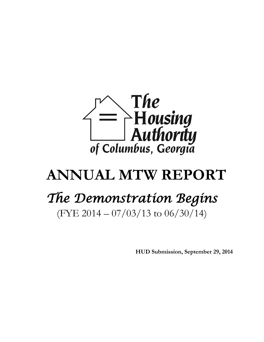

# **ANNUAL MTW REPORT**

# *The Demonstration Begins*

(FYE 2014 – 07/03/13 to 06/30/14)

**HUD Submission, September 29, 2014**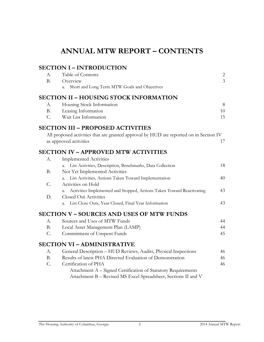# **ANNUAL MTW REPORT – CONTENTS**

# **SECTION I – INTRODUCTION**

| A.          | Table of Contents                                                                      | $\overline{c}$ |
|-------------|----------------------------------------------------------------------------------------|----------------|
| <b>B.</b>   | Overview                                                                               | $\overline{3}$ |
|             | Short and Long Term MTW Goals and Objectives<br>a.                                     |                |
|             | <b>SECTION II – HOUSING STOCK INFORMATION</b>                                          |                |
| А.          | Housing Stock Information                                                              | 8              |
| <b>B.</b>   | Leasing Information                                                                    | 10             |
| $C_{\cdot}$ | Wait List Information                                                                  | 15             |
|             | <b>SECTION III – PROPOSED ACTIVITIES</b>                                               |                |
|             | All proposed activities that are granted approval by HUD are reported on in Section IV |                |
|             | as approved activities                                                                 | 17             |
|             | <b>SECTION IV – APPROVED MTW ACTIVITIES</b>                                            |                |
| А.          | <b>Implemented Activities</b>                                                          |                |
|             | List Activities, Description, Benchmarks, Data Collection<br>a.                        | 18             |
| <b>B.</b>   | Not Yet Implemented Activities                                                         |                |
|             | List Activities, Actions Taken Toward Implementation<br>a.                             | 40             |
| C.          | Activities on Hold                                                                     |                |
|             | Activities Implemented and Stopped, Actions Taken Toward Reactivating<br>a.            | 43             |
| D.          | <b>Closed Out Activities</b>                                                           |                |
|             | List Close Outs, Year Closed, Final Year Information<br>a.                             | 43             |
|             | <b>SECTION V – SOURCES AND USES OF MTW FUNDS</b>                                       |                |
| A.          | Sources and Uses of MTW Funds                                                          | 44             |
| <b>B.</b>   | Local Asset Management Plan (LAMP)                                                     | 44             |
| C.          | Commitment of Unspent Funds                                                            | 45             |
|             | <b>SECTION VI - ADMINISTRATIVE</b>                                                     |                |
| A.          | General Description - HUD Reviews, Audits, Physical Inspections                        | 46             |
| <b>B.</b>   | Results of latest PHA Directed Evaluation of Demonstration                             | 46             |
| C.          | Certification of PHA                                                                   | 46             |
|             | Attachment A - Signed Certification of Statutory Requirements                          |                |
|             | Attachment B - Revised MS Excel Spreadsheet, Sections II and V                         |                |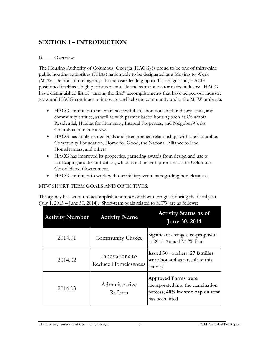# **SECTION I – INTRODUCTION**

#### B. Overview

The Housing Authority of Columbus, Georgia (HACG) is proud to be one of thirty-nine public housing authorities (PHAs) nationwide to be designated as a Moving-to-Work (MTW) Demonstration agency. In the years leading up to this designation, HACG positioned itself as a high performer annually and as an innovator in the industry. HACG has a distinguished list of "among the first" accomplishments that have helped our industry grow and HACG continues to innovate and help the community under the MTW umbrella.

- HACG continues to maintain successful collaborations with industry, state, and community entities, as well as with partner-based housing such as Columbia Residential, Habitat for Humanity, Integral Properties, and NeighborWorks Columbus, to name a few.
- HACG has implemented goals and strengthened relationships with the Columbus Community Foundation, Home for Good, the National Alliance to End Homelessness, and others.
- HACG has improved its properties, garnering awards from design and use to landscaping and beautification, which is in line with priorities of the Columbus Consolidated Government.
- HACG continues to work with our military veterans regarding homelessness.

#### MTW SHORT-TERM GOALS AND OBJECTIVES:

The agency has set out to accomplish a number of short-term goals during the fiscal year (July 1, 2013 – June 30, 2014). Short-term goals related to MTW are as follows:

| <b>Activity Number</b> | <b>Activity Name</b>                  | <b>Activity Status as of</b><br><b>June 30, 2014</b>                                                                  |
|------------------------|---------------------------------------|-----------------------------------------------------------------------------------------------------------------------|
| 2014.01                | Community Choice                      | Significant changes, re-proposed<br>lin 2015 Annual MTW Plan                                                          |
| 2014.02                | Innovations to<br>Reduce Homelessness | Issued 30 vouchers; 27 families<br><b>were housed</b> as a result of this<br>activity                                 |
| 2014.03                | Administrative<br>Reform              | <b>Approved Forms were</b><br>incorporated into the examination<br>process; 40% income cap on rent<br>has been lifted |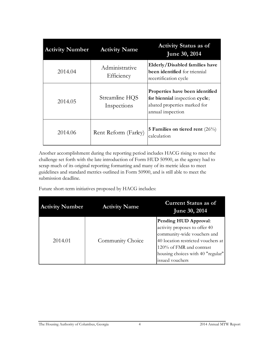| <b>Activity Number</b> | <b>Activity Name</b>          | <b>Activity Status as of</b><br><b>June 30, 2014</b>                                                                   |
|------------------------|-------------------------------|------------------------------------------------------------------------------------------------------------------------|
| 2014.04                | Administrative<br>Efficiency  | Elderly/Disabled families have<br><b>been identified</b> for triennial<br>recertification cycle                        |
| 2014.05                | Streamline HQS<br>Inspections | Properties have been identified<br>for biennial inspection cycle;<br>abated properties marked for<br>annual inspection |
| 2014.06                | Rent Reform (Farley)          | 5 Families on tiered rent $(26\%)$<br>calculation                                                                      |

Another accomplishment during the reporting period includes HACG rising to meet the challenge set forth with the late introduction of Form HUD 50900, as the agency had to scrap much of its original reporting formatting and many of its metric ideas to meet guidelines and standard metrics outlined in Form 50900, and is still able to meet the submission deadline.

Future short-term initiatives proposed by HACG includes:

| <b>Activity Number</b> | <b>Activity Name</b> | <b>Current Status as of</b><br><b>June 30, 2014</b>                                                                                                                                                             |
|------------------------|----------------------|-----------------------------------------------------------------------------------------------------------------------------------------------------------------------------------------------------------------|
| 2014.01                | Community Choice     | Pending HUD Approval:<br>activity proposes to offer 40<br>community-wide vouchers and<br>40 location restricted vouchers at<br>120% of FMR and contrast<br>housing choices with 40 "regular"<br>issued vouchers |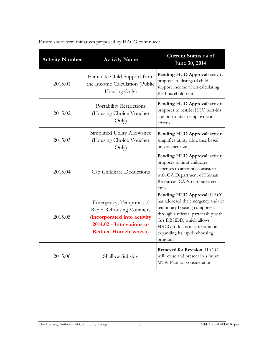| <b>Activity Number</b> | <b>Activity Name</b>                                                                                                                          | <b>Current Status as of</b><br>June 30, 2014                                                                                                                                                                                                  |
|------------------------|-----------------------------------------------------------------------------------------------------------------------------------------------|-----------------------------------------------------------------------------------------------------------------------------------------------------------------------------------------------------------------------------------------------|
| 2015.01                | Eliminate Child Support from<br>the Income Calculation (Public<br>Housing Only)                                                               | Pending HUD Approval: activity<br>proposes to disregard child<br>support income when calculating<br>PH household rent                                                                                                                         |
| 2015.02                | Portability Restrictions<br>(Housing Choice Voucher<br>Only)                                                                                  | Pending HUD Approval: activity<br>proposes to restrict HCV port-ins<br>and port-outs to employment<br>criteria                                                                                                                                |
| 2015.03                | Simplified Utility Allowance<br>(Housing Choice Voucher<br>Only)                                                                              | Pending HUD Approval: activity<br>simplifies utility allowance based<br>on voucher size                                                                                                                                                       |
| 2015.04                | Cap Childcare Deductions                                                                                                                      | Pending HUD Approval: activity<br>proposes to limit childcare<br>expenses to amounts consistent<br>with GA Department of Human<br>Resources' CAPs reimbursement<br>rates                                                                      |
| 2015.05                | Emergency, Temporary /<br>Rapid Rehousing Vouchers<br>(incorporated into activity<br>2014.02 - Innovations to<br><b>Reduce Homelessness</b> ) | Pending HUD Approval: HACG<br>has addresed the emergency and/or<br>temporary housing component<br>through a referral partnership with<br>GA DBHDD, which allows<br>HACG to focus its attention on<br>expanding its rapid rehousing<br>program |
| 2015.06                | Shallow Subsidy                                                                                                                               | <b>Removed for Revision, HACG</b><br>will revise and present in a future<br>MTW Plan for consideration                                                                                                                                        |

Future short-term initiatives proposed by HACG continued: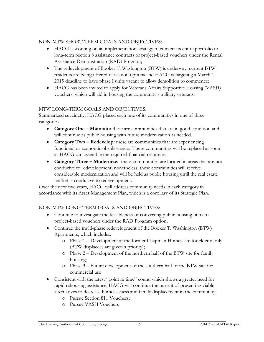#### NON-MTW SHORT-TERM GOALS AND OBJECTIVES:

- HACG is working on an implementation strategy to convert its entire portfolio to long-term Section 8 assistance contracts or project-based vouchers under the Rental Assistance Demonstration (RAD) Program;
- The redevelopment of Booker T. Washington (BTW) is underway, current BTW residents are being offered relocation options and HACG is targeting a March 1, 2015 deadline to have phase I units vacant to allow demolition to commence;
- HACG has been invited to apply for Veterans Affairs Supportive Housing (VASH) vouchers, which will aid in housing the community's military veterans;

#### MTW LONG-TERM GOALS AND OBJECTIVES:

Summarized succinctly, HACG placed each one of its communities in one of three categories.

- **Category One Maintain:** these are communities that are in good condition and will continue as public housing with future modernization as needed.
- **Category Two Redevelop:** these are communities that are experiencing functional or economic obsolescence. These communities will be replaced as soon as HACG can assemble the required financial resources.
- **Category Three – Modernize:** these communities are located in areas that are not conducive to redevelopment; nonetheless, these communities will receive considerable modernization and will be held as public housing until the real estate market is conducive to redevelopment.

Over the next five years, HACG will address community needs in each category in accordance with its Asset Management Plan, which is a corollary of its Strategic Plan.

### NON-MTW LONG-TERM GOALS AND OBJECTIVES:

- Continue to investigate the feasibleness of converting public housing units to project-based vouchers under the RAD Program option;
- Continue the multi-phase redevelopment of the Booker T. Washington (BTW) Apartments, which includes:
	- o Phase 1 Development at the former Chapman Homes site for elderly-only (BTW displacees are given a priority);
	- o Phase 2 Development of the northern half of the BTW site for family housing;
	- o Phase 3 Future development of the southern half of the BTW site for commercial use
- Consistent with the latest "point in time" count, which shows a greater need for rapid rehousing assistance, HACG will continue the pursuit of presenting viable alternatives to decrease homelessness and family displacement in the community;
	- o Pursue Section 811 Vouchers;
	- o Pursue VASH Vouchers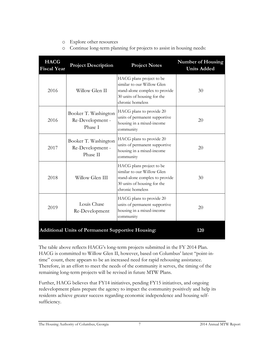#### o Explore other resources

o Continue long-term planning for projects to assist in housing needs:

| <b>HACG</b><br><b>Fiscal Year</b> | <b>Project Description</b>                                      | <b>Project Notes</b>                                                                                                                        | <b>Number of Housing</b><br><b>Units Added</b> |  |  |  |
|-----------------------------------|-----------------------------------------------------------------|---------------------------------------------------------------------------------------------------------------------------------------------|------------------------------------------------|--|--|--|
| 2016                              | Willow Glen II                                                  | HACG plans project to be<br>similar to our Willow Glen<br>stand-alone complex to provide<br>30 units of housing for the<br>chronic homeless | 30                                             |  |  |  |
| 2016                              | Booker T. Washington<br>Re-Development -<br>Phase I             | HACG plans to provide 20<br>units of permanent supportive<br>housing in a mixed-income<br>community                                         | 20                                             |  |  |  |
| 2017                              | Booker T. Washington<br>Re-Development -<br>Phase II            | HACG plans to provide 20<br>units of permanent supportive<br>housing in a mixed-income<br>community                                         | 20                                             |  |  |  |
| 2018                              | Willow Glen III                                                 | HACG plans project to be<br>similar to our Willow Glen<br>stand-alone complex to provide<br>30 units of housing for the<br>chronic homeless | 30                                             |  |  |  |
| 2019                              | Louis Chase<br>Re-Development                                   | HACG plans to provide 20<br>units of permanent supportive<br>housing in a mixed-income<br>community                                         | 20                                             |  |  |  |
|                                   | <b>Additional Units of Permanent Supportive Housing:</b><br>120 |                                                                                                                                             |                                                |  |  |  |

The table above reflects HACG's long-term projects submitted in the FY 2014 Plan. HACG is committed to Willow Glen II, however, based on Columbus' latest "point-intime" count, there appears to be an increased need for rapid rehousing assistance. Therefore, in an effort to meet the needs of the community it serves, the timing of the remaining long-term projects will be revised in future MTW Plans.

Further, HACG believes that FY14 initiatives, pending FY15 initiatives, and ongoing redevelopment plans prepare the agency to impact the community positively and help its residents achieve greater success regarding economic independence and housing selfsufficiency.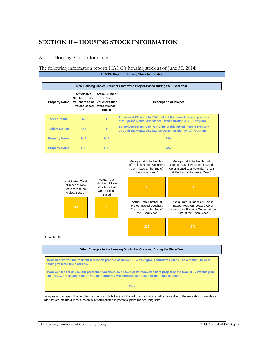### **SECTION II – HOUSING STOCK INFORMATION**

#### A. Housing Stock Information

#### The following information reports HACG's housing stock as of June 30, 2014:

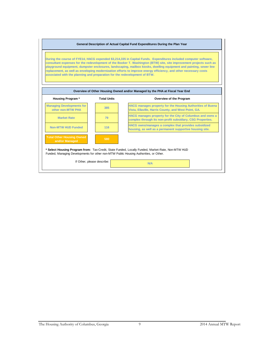#### **General Description of Actual Capital Fund Expenditures During the Plan Year**

**During the course of FYE14, HACG expended \$3,214,335 in Capital Funds. Expenditures included computer software, consultant expenses for the redevelopment of the Booker T. Washington (BTW) site, site improvement projects such as playground equipment, dumpster enclosures, landscaping, mailbox kiosks, dwelling equipment and painting, sewer line replacement, as well as enveloping modernization efforts to improve energy efficiency, and other necessary costs associated with the planning and preparation for the redevelopment of BTW.**

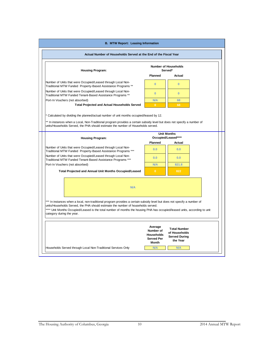| <b>B. MTW Report: Leasing Information</b>                                                                                                                                                                                                                                                                                                           |                                                                                |                                                                          |  |  |  |  |  |  |
|-----------------------------------------------------------------------------------------------------------------------------------------------------------------------------------------------------------------------------------------------------------------------------------------------------------------------------------------------------|--------------------------------------------------------------------------------|--------------------------------------------------------------------------|--|--|--|--|--|--|
| Actual Number of Households Served at the End of the Fiscal Year                                                                                                                                                                                                                                                                                    |                                                                                |                                                                          |  |  |  |  |  |  |
| <b>Number of Households</b><br><b>Housing Program:</b><br>Served*                                                                                                                                                                                                                                                                                   |                                                                                |                                                                          |  |  |  |  |  |  |
|                                                                                                                                                                                                                                                                                                                                                     | Planned                                                                        | Actual                                                                   |  |  |  |  |  |  |
| Number of Units that were Occupied/Leased through Local Non-<br>Traditional MTW Funded Property-Based Assistance Programs **                                                                                                                                                                                                                        | $\mathbf{0}$                                                                   | $\bf{0}$                                                                 |  |  |  |  |  |  |
| Number of Units that were Occupied/Leased through Local Non-<br>Traditional MTW Funded Tenant-Based Assistance Programs **                                                                                                                                                                                                                          | $\overline{0}$                                                                 | $\bf{0}$                                                                 |  |  |  |  |  |  |
| Port-In Vouchers (not absorbed)                                                                                                                                                                                                                                                                                                                     | <b>N/A</b>                                                                     | 68                                                                       |  |  |  |  |  |  |
| <b>Total Projected and Actual Households Served</b>                                                                                                                                                                                                                                                                                                 | $\mathbf{0}$                                                                   | 68                                                                       |  |  |  |  |  |  |
| ** In instances when a Local, Non-Traditional program provides a certain subsidy level but does not specify a number of<br>units/Households Served, the PHA should estimate the number of Households served.                                                                                                                                        |                                                                                | <b>Unit Months</b><br>Occupied/Leased****                                |  |  |  |  |  |  |
| <b>Housing Program:</b>                                                                                                                                                                                                                                                                                                                             | Planned                                                                        | Actual                                                                   |  |  |  |  |  |  |
| Number of Units that were Occupied/Leased through Local Non-<br>Traditional MTW Funded Property-Based Assistance Programs ***                                                                                                                                                                                                                       | 0.0                                                                            | 0.0                                                                      |  |  |  |  |  |  |
| Number of Units that were Occupied/Leased through Local Non-<br>Traditional MTW Funded Tenant-Based Assistance Programs ***                                                                                                                                                                                                                         | 0.0                                                                            | 0.0                                                                      |  |  |  |  |  |  |
| Port-In Vouchers (not absorbed)                                                                                                                                                                                                                                                                                                                     | <b>N/A</b>                                                                     | 821.8                                                                    |  |  |  |  |  |  |
| Total Projected and Annual Unit Months Occupied/Leased                                                                                                                                                                                                                                                                                              | $\mathbf{0}$                                                                   | 822                                                                      |  |  |  |  |  |  |
| N/A<br>*** In instances when a local, non-traditional program provides a certain subsidy level but does not specify a number of<br>units/Households Served, the PHA should estimate the number of households served.<br>**** Unit Months Occupied/Leased is the total number of months the housing PHA has occupied/leased units, according to unit |                                                                                |                                                                          |  |  |  |  |  |  |
| category during the year.                                                                                                                                                                                                                                                                                                                           | Average<br>Number of<br><b>Households</b><br><b>Served Per</b><br><b>Month</b> | <b>Total Number</b><br>of Households<br><b>Served During</b><br>the Year |  |  |  |  |  |  |
| Households Served through Local Non-Traditional Services Only                                                                                                                                                                                                                                                                                       | N/A                                                                            | N/A                                                                      |  |  |  |  |  |  |
|                                                                                                                                                                                                                                                                                                                                                     |                                                                                |                                                                          |  |  |  |  |  |  |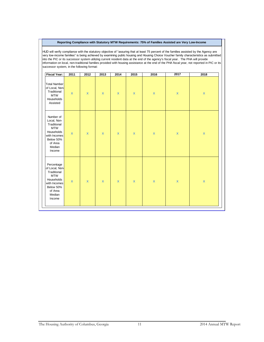#### **Reporting Compliance with Statutory MTW Requirements: 75% of Families Assisted are Very Low-Income**

HUD will verify compliance with the statutory objective of "assuring that at least 75 percent of the families assisted by the Agency are very low-income families" is being achieved by examining public housing and Housing Choice Voucher family characteristics as submitted into the PIC or its successor system utilizing current resident data at the end of the agency's fiscal year. The PHA will provide information on local, non-traditional families provided with housing assistance at the end of the PHA fiscal year, not reported in PIC or its successor system, in the following format:

| <b>Fiscal Year:</b>                                                                                                                 | 2011         | 2012                    | 2013                    | 2014                    | 2015               | 2016               | 2017               | 2018               |
|-------------------------------------------------------------------------------------------------------------------------------------|--------------|-------------------------|-------------------------|-------------------------|--------------------|--------------------|--------------------|--------------------|
| <b>Total Number</b><br>of Local, Non-<br>Traditional<br><b>MTW</b><br>Households<br>Assisted                                        | $\mathbf x$  | $\overline{\mathbf{x}}$ | $\mathsf{x}$            | $\mathsf{x}$            | $\mathbf x$        | $\pmb{\mathsf{X}}$ | $\pmb{\mathsf{x}}$ | $\pmb{\mathsf{X}}$ |
| Number of<br>Local, Non-<br>Traditional<br><b>MTW</b><br>Households<br>with Incomes<br>Below 50%<br>of Area<br>Median<br>Income     | $\mathbf x$  | $\mathsf{x}$            | $\mathsf{x}$            | $\mathbf x$             | $\pmb{\mathsf{X}}$ | $\pmb{\mathsf{X}}$ | $\pmb{\mathsf{x}}$ | $\pmb{\mathsf{X}}$ |
| Percentage<br>of Local, Non-<br>Traditional<br><b>MTW</b><br>Households<br>with Incomes<br>Below 50%<br>of Area<br>Median<br>Income | $\pmb{\chi}$ | $\overline{\mathbf{x}}$ | $\overline{\mathbf{x}}$ | $\overline{\mathbf{x}}$ | $\pmb{\mathsf{x}}$ | $\pmb{\mathsf{X}}$ | $\pmb{\mathsf{X}}$ | $\pmb{\mathsf{X}}$ |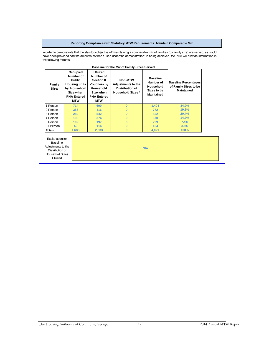#### **Reporting Compliance with Statutory MTW Requirements: Maintain Comparable Mix**

In order to demonstrate that the statutory objective of "maintaining a comparable mix of families (by family size) are served, as would have been provided had the amounts not been used under the demonstration" is being achieved, the PHA will provide information in the following formats:

| Family<br>Size: | Occupied<br>Number of<br><b>Public</b><br><b>Housing units</b><br>by Household<br>Size when<br><b>PHA Entered</b><br><b>MTW</b> | <b>Utilized</b><br>Number of<br><b>Section 8</b><br><b>Vouchers by</b><br>Household<br>Size when<br><b>PHA Entered</b><br><b>MTW</b> | Non-MTW<br><b>Adjustments to the</b><br>Distribution of<br><b>Household Sizes *</b> | <b>Baseline</b><br>Number of<br>Household<br>Sizes to be<br>Maintained | <b>Baseline Percentages</b><br>of Family Sizes to be<br>Maintained |
|-----------------|---------------------------------------------------------------------------------------------------------------------------------|--------------------------------------------------------------------------------------------------------------------------------------|-------------------------------------------------------------------------------------|------------------------------------------------------------------------|--------------------------------------------------------------------|
| 1 Person        | 714                                                                                                                             | 690                                                                                                                                  | $\Omega$                                                                            | 1.404                                                                  | 34.9%                                                              |
| 2 Person        | 356                                                                                                                             | 416                                                                                                                                  | $\Omega$                                                                            | 772                                                                    | 19.2%                                                              |
| 3 Person        | 280                                                                                                                             | 542                                                                                                                                  | $\bf{0}$                                                                            | 822                                                                    | 20.4%                                                              |
| 4 Person        | 196                                                                                                                             | 374                                                                                                                                  | $\Omega$                                                                            | 570                                                                    | 14.2%                                                              |
| 5 Person        | 102                                                                                                                             | 197                                                                                                                                  | $\bf{0}$                                                                            | 299                                                                    | 7.4%                                                               |
| 6+ Person       | 40                                                                                                                              | 114                                                                                                                                  | $\Omega$                                                                            | 154                                                                    | 3.8%                                                               |
| Totals          | 1.688                                                                                                                           | 2.333                                                                                                                                | $\bf{0}$                                                                            | 4.021                                                                  | 100%                                                               |

.<br>Baseline Adjustments to the Distribution of Household Sizes

Utilized

**N/A**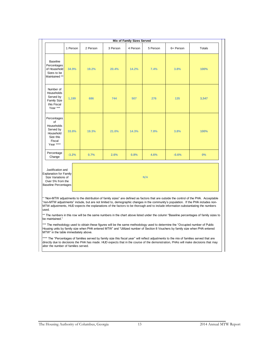| <b>Mix of Family Sizes Served</b>                                                             |          |          |          |          |          |           |               |
|-----------------------------------------------------------------------------------------------|----------|----------|----------|----------|----------|-----------|---------------|
|                                                                                               | 1 Person | 2 Person | 3 Person | 4 Person | 5 Person | 6+ Person | <b>Totals</b> |
| <b>Baseline</b><br>Percentages<br>of Household<br>Sizes to be<br>Maintained **                | 34.9%    | 19.2%    | 20.4%    | 14.2%    | 7.4%     | 3.8%      | 100%          |
| Number of<br>Households<br>Served by<br><b>Family Size</b><br>this Fiscal<br>Year ***         | 1,199    | 686      | 744      | 507      | 276      | 135       | 3,547         |
| Percentages<br>of<br>Households<br>Served by<br>Household<br>Size this<br>Fiscal<br>Year **** | 33.8%    | 19.3%    | 21.0%    | 14.3%    | 7.8%     | 3.8%      | 100%          |
| Percentage<br>Change                                                                          | $-3.2%$  | 0.7%     | 2.6%     | 0.8%     | 4.6%     | $-0.6%$   | 0%            |
|                                                                                               |          |          |          |          |          |           |               |

Justification and Explanation for Family Size Variations of Over 5% from the Baseline Percentages

**N/A**

\* "Non-MTW adjustments to the distribution of family sizes" are defined as factors that are outside the control of the PHA. Acceptable "non-MTW adjustments" include, but are not limited to, demographic changes in the community's population. If the PHA includes non-MTW adjustments, HUD expects the explanations of the factors to be thorough and to include information substantiating the numbers used.

\*\* The numbers in this row will be the same numbers in the chart above listed under the column "Baseline percentages of family sizes to be maintained."

\*\*\* The methodology used to obtain these figures will be the same methodology used to determine the "Occupied number of Public Housing units by family size when PHA entered MTW" and "Utilized number of Section 8 Vouchers by family size when PHA entered MTW" in the table immediately above.

\*\*\*\* The "Percentages of families served by family size this fiscal year" will reflect adjustments to the mix of families served that are directly due to decisions the PHA has made. HUD expects that in the course of the demonstration, PHAs will make decisions that may alter the number of families served.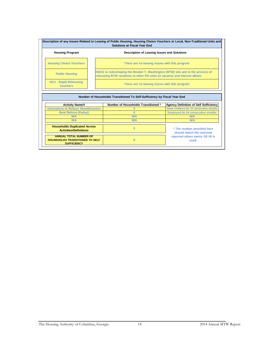| Description of any Issues Related to Leasing of Public Housing, Housing Choice Vouchers or Local, Non-Traditional Units and<br><b>Solutions at Fiscal Year End</b> |                                                                                                                                                              |  |  |  |  |  |  |
|--------------------------------------------------------------------------------------------------------------------------------------------------------------------|--------------------------------------------------------------------------------------------------------------------------------------------------------------|--|--|--|--|--|--|
| <b>Housing Program</b><br>Description of Leasing Issues and Solutions                                                                                              |                                                                                                                                                              |  |  |  |  |  |  |
| <b>Housing Choice Vouchers</b>                                                                                                                                     | There are no leasing issues with this program                                                                                                                |  |  |  |  |  |  |
| <b>Public Housing</b>                                                                                                                                              | HACG is redeveloping the Booker T. Washington (BTW) site and in the process of<br>relocating BTW residents to other PH units as vacancy and interest allows. |  |  |  |  |  |  |
| <b>HCV - Rapid Rehousing</b><br><b>Vouchers</b>                                                                                                                    | There are no leasing issues with this program                                                                                                                |  |  |  |  |  |  |

|                                                                                               | Number of Households Transitioned To Self-Sufficiency by Fiscal Year End |                                                        |
|-----------------------------------------------------------------------------------------------|--------------------------------------------------------------------------|--------------------------------------------------------|
| <b>Activity Name/#</b>                                                                        | Number of Households Transitioned *                                      | <b>Agency Definition of Self Sufficiency</b>           |
| <b>Innovations to Reduce Homelessness</b>                                                     |                                                                          | Same residence for 12 consecutive months               |
| <b>Rent Reform (Farley)</b>                                                                   |                                                                          | <b>Employed for 24 consecutive months</b>              |
| N/A                                                                                           | N/A                                                                      | N/A                                                    |
| N/A                                                                                           | N/A                                                                      | N/A                                                    |
| <b>Households Duplicated Across</b><br><b>Activities/Definitions</b>                          | 0                                                                        | * The number provided here<br>should match the outcome |
| <b>ANNUAL TOTAL NUMBER OF</b><br><b>HOUSEHOLDS TRANSITIONED TO SELF</b><br><b>SUFFICIENCY</b> | υ                                                                        | reported where metric SS #8 is<br>used.                |

 $\overline{r}$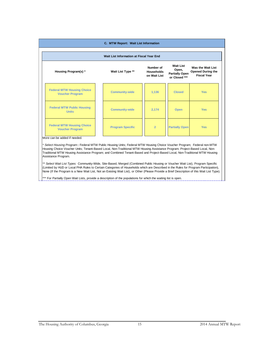| Wait List Information at Fiscal Year End                                                                                                                                                                                                  |                         |                |                       |            |  |  |
|-------------------------------------------------------------------------------------------------------------------------------------------------------------------------------------------------------------------------------------------|-------------------------|----------------|-----------------------|------------|--|--|
| <b>Wait List</b><br>Was the Wait List<br>Number of<br>Open,<br>Wait List Type **<br>Housing Program(s) *<br><b>Opened During the</b><br><b>Households</b><br><b>Partially Open</b><br><b>Fiscal Year</b><br>on Wait List<br>or Closed *** |                         |                |                       |            |  |  |
| <b>Federal MTW Housing Choice</b><br><b>Voucher Program</b>                                                                                                                                                                               | <b>Community-wide</b>   | 1,136          | <b>Closed</b>         | <b>Yes</b> |  |  |
| <b>Federal MTW Public Housing</b><br><b>Units</b>                                                                                                                                                                                         | <b>Community-wide</b>   | 2,174          | <b>Open</b>           | <b>Yes</b> |  |  |
| <b>Federal MTW Housing Choice</b><br><b>Voucher Program</b>                                                                                                                                                                               | <b>Program Specific</b> | $\overline{2}$ | <b>Partially Open</b> | <b>Yes</b> |  |  |

*\* Select Housing Program* **:** Federal MTW Public Housing Units; Federal MTW Housing Choice Voucher Program; Federal non-MTW Housing Choice Voucher Units; Tenant-Based Local, Non-Traditional MTW Housing Assistance Program; Project-Based Local, Non-Traditional MTW Housing Assistance Program; and Combined Tenant-Based and Project-Based Local, Non-Traditional MTW Housing Assistance Program.

*\*\* Select Wait List Types:* Community-Wide, Site-Based, Merged (Combined Public Housing or Voucher Wait List), Program Specific (Limited by HUD or Local PHA Rules to Certain Categories of Households which are Described in the Rules for Program Participation), None (If the Program is a New Wait List, Not an Existing Wait List), or Other (Please Provide a Brief Description of this Wait List Type).

\* For Partially Open Wait Lists, provide a description of the populations for which the waiting list is open.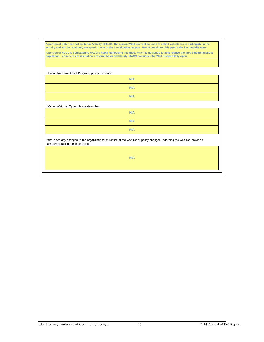**A portion of HCVs are set aside for Activity 2014.01; the current Wait List will be used to solicit volunteers to participate in the activity and will be randomly assigned to one of the 3 evaluation groups. HACG considers this part of the list partially open.**

**A portion of HCVs is dedicated to HACG's Rapid Rehousing Initiative, which is designed to help reduce the area's homelessness population. Vouchers are issued on a referral basis and thusly, HACG considers the Wait List partilally open.**

If Local, Non-Traditional Program, please describe:

| .<br>. |            |  |
|--------|------------|--|
|        | <b>N/A</b> |  |
|        | N/A        |  |
|        | <b>N/A</b> |  |

If Other Wait List Type, please describe:

| N/A |
|-----|
| N/A |
| N/A |

If there are any changes to the organizational structure of the wait list or policy changes regarding the wait list, provide a narrative detailing these changes.

**N/A**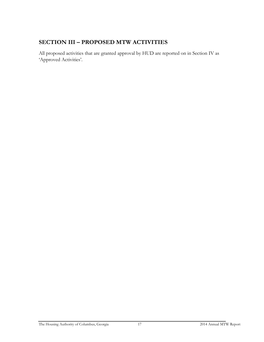# **SECTION III – PROPOSED MTW ACTIVITIES**

All proposed activities that are granted approval by HUD are reported on in Section IV as 'Approved Activities'.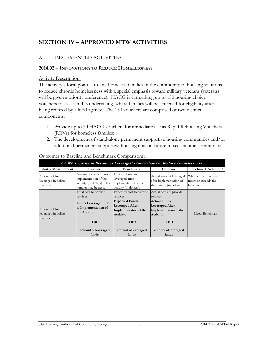# **SECTION IV – APPROVED MTW ACTIVITIES**

#### A. IMPLEMENTED ACTIVITIES

#### **2014.02 – INNOVATIONS TO REDUCE HOMELESSNESS**

#### **Activity Description:**

The activity's focal point is to link homeless families in the community to housing solutions to reduce chronic homelessness with a special emphasis toward military veterans (veterans will be given a priority preference). HACG is earmarking up to 150 housing choice vouchers to assist in this undertaking, where families will be screened for eligibility after being referred by a local agency. The 150 vouchers are comprised of two distinct components:

- 1. Provide up to 30 HACG vouchers for immediate use as Rapid Rehousing Vouchers (RRVs) for homeless families;
- 2. The development of stand-alone permanent supportive housing communities and/or additional permanent supportive housing units in future mixed-income communities.

| CE #4: Increase in Resources Leveraged - Innovations to Reduce Homelessness |                                                                                                                          |                                                                                                                                             |                                                                                                                                          |                                                           |  |
|-----------------------------------------------------------------------------|--------------------------------------------------------------------------------------------------------------------------|---------------------------------------------------------------------------------------------------------------------------------------------|------------------------------------------------------------------------------------------------------------------------------------------|-----------------------------------------------------------|--|
| Unit of Measurement                                                         | <b>Baseline</b>                                                                                                          | Benchmark                                                                                                                                   | Outcome                                                                                                                                  | <b>Benchmark Achieved?</b>                                |  |
| Amount of funds<br>leveraged in dollars<br>(increase).                      | Amount leveraged prior to Expected amount<br>implementation of the<br>activity (in dollars). This<br>number may be zero. | leveraged after<br>implementation of the<br>activity (in dollars).                                                                          | Actual amount leveraged<br>after implementation of<br>the activity (in dollars).                                                         | Whether the outcome<br>meets or exceeds the<br>benchmark. |  |
| Amount of funds<br>leveraged in dollars<br>(increase).                      | Total cost to provide<br>services<br><b>Funds Leveraged Prior</b><br>to Implementation of<br>the Activity.<br><b>TBD</b> | Expected cost to provide<br>services<br><b>Expected Funds</b><br><b>Leveraged After</b><br>Implementation of the<br>Activity.<br><b>TBD</b> | Actual costs to provide<br>services<br><b>Actual Funds</b><br><b>Leveraged After</b><br>Implementation of the<br>Activity.<br><b>TBD</b> | Meets Benchmark                                           |  |
|                                                                             | amount of leveraged<br>funds                                                                                             | amount of leveraged<br>funds                                                                                                                | amount of leveraged<br>funds                                                                                                             |                                                           |  |

Outcomes to Baseline and Benchmark Comparisons: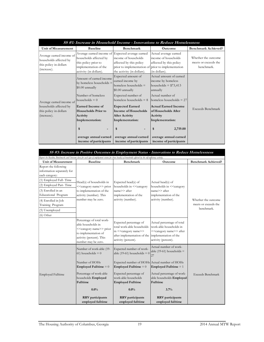|                                                                                             |                                                                                                                                                       |                                                                                                                                          | SS #1: Increase in Household Income - Innovations to Reduce Homelessness                                                              |                                                           |
|---------------------------------------------------------------------------------------------|-------------------------------------------------------------------------------------------------------------------------------------------------------|------------------------------------------------------------------------------------------------------------------------------------------|---------------------------------------------------------------------------------------------------------------------------------------|-----------------------------------------------------------|
| Unit of Measurement                                                                         | <b>Baseline</b>                                                                                                                                       | Benchmark                                                                                                                                | Outcome                                                                                                                               | <b>Benchmark Achieved?</b>                                |
| Average earned income of<br>households affected by<br>this policy in dollars<br>(increase). | Average earned income of Expected average earned<br>households affected by<br>this policy prior to<br>implementation of the<br>activity (in dollars). | income of households<br>affected by this policy<br>prior to implementation of prior to implementation<br>the activity (in dollars).      | Actual average earned<br>income of households<br>affected by this policy<br>(in dollars).                                             | Whether the outcome<br>meets or exceeds the<br>benchmark. |
| Average earned income of                                                                    | Amount of earned income<br>by homeless households $=$<br>$$0.00$ annually<br>Number of homeless<br>households $= 0$                                   | Expected amount of<br>earned income by<br>homeless households $=$<br>$$0.00$ annually<br>Expected number of<br>homeless households $= 8$ | Actual amount of earned<br>income by homeless<br>households = $$73,413$<br>annually<br>Actual number of<br>homeless households $= 27$ |                                                           |
| households affected by<br>this policy in dollars<br>(increase).                             | <b>Earned Income of</b><br><b>Households Prior to</b><br><b>Activity</b><br>Implementation:<br>\$<br>average annual earned                            | <b>Expected Earned</b><br>Income of Households<br><b>After Activity</b><br>Implementation:<br>\$<br>average annual earned                | Actual Earned Income<br>of Households After<br><b>Activity</b><br>Implementation:<br>2,719.00<br>\$<br>average annual earned          | Exceeds Benchmark                                         |
|                                                                                             | income of participants                                                                                                                                | income of participants                                                                                                                   | income of participants                                                                                                                |                                                           |

| SS #3: Increase in Positive Outcomes in Employment Status - Innovations to Reduce Homelessness<br>Report the Baseline, Benchmark and Outcome data for each type of employment status for those head(s) of households affected by the self-sufficiency activity. |                                                                                                                                                                            |                                                                                                                                                                              |                                                                                                                                      |                                                           |
|-----------------------------------------------------------------------------------------------------------------------------------------------------------------------------------------------------------------------------------------------------------------|----------------------------------------------------------------------------------------------------------------------------------------------------------------------------|------------------------------------------------------------------------------------------------------------------------------------------------------------------------------|--------------------------------------------------------------------------------------------------------------------------------------|-----------------------------------------------------------|
| <b>Unit of Measurement</b>                                                                                                                                                                                                                                      | <b>Baseline</b>                                                                                                                                                            | Benchmark                                                                                                                                                                    | Outcome                                                                                                                              | <b>Benchmark Achieved?</b>                                |
| Report the following<br>information separately for<br>each category:<br>(1) Employed Full-Time<br>(2) Employed Part-Time<br>(3) Enrolled in an<br>Educational Program<br>(4) Enrolled in Job<br>Training Program<br>(5) Unemployed                              | Head(s) of households in<br>< <category name="">&gt; prior<br/>to implementation of the<br/>activity (number). This<br/>number may be zero.</category>                     | Expected head(s) of<br>households in << <rategory<br>name&gt;&gt; after<br/>implementation of the<br/>activity (number).</rategory<br>                                       | Actual head(s) of<br>households in << <aategory<br>name&gt;&gt; after<br/>implementation of the<br/>activity (number).</aategory<br> | Whether the outcome<br>meets or exceeds the<br>benchmark. |
| $(6)$ Other                                                                                                                                                                                                                                                     |                                                                                                                                                                            |                                                                                                                                                                              |                                                                                                                                      |                                                           |
|                                                                                                                                                                                                                                                                 | Percentage of total work-<br>able households in<br>< <category name="">&gt; prior<br/>to implementation of<br/>activity (percent). This<br/>number may be zero.</category> | Expected percentage of<br>total work-able households<br>in < <category name="">&gt;<br/>after implementation of the implementation of the<br/>activity (percent).</category> | Actual percentage of total<br>work-able households in<br>< <category name="">&gt; after<br/>activity (percent).</category>           |                                                           |
|                                                                                                                                                                                                                                                                 | Number of work-able (19-<br>$61)$ households = 0                                                                                                                           | Expected number of work-<br>able (19-61) households = $0$                                                                                                                    | Actual number of work-<br>able (19-61) households $=$<br>27                                                                          |                                                           |
| <b>Employed Fulltime</b>                                                                                                                                                                                                                                        | Number of HOHs<br><b>Employed Fulltime</b> $= 0$<br>Percentage of work-able<br>households Employed                                                                         | Expected number of HOHs Actual number of HOHs<br><b>Employed Fulltime = <math>0</math></b><br>Expected percentage of<br>work-able households                                 | <b>Employed Fulltime</b> $= 1$<br>Actual percentage of work-<br>able households Employed                                             | <b>Exceeds Benchmark</b>                                  |
|                                                                                                                                                                                                                                                                 | Fulltime                                                                                                                                                                   | <b>Employed Fulltime</b>                                                                                                                                                     | Fulltime                                                                                                                             |                                                           |
|                                                                                                                                                                                                                                                                 | $0.0\%$                                                                                                                                                                    | $0.0\%$                                                                                                                                                                      | 3.7%                                                                                                                                 |                                                           |
|                                                                                                                                                                                                                                                                 | <b>RRV</b> participants<br>employed fulltime                                                                                                                               | <b>RRV</b> participants<br>employed fulltime                                                                                                                                 | <b>RRV</b> participants<br>employed fulltime                                                                                         |                                                           |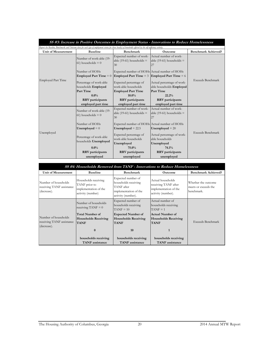| SS #3: Increase in Positive Outcomes in Employment Status - Innovations to Reduce Homelessness |                                                   |                                                                                                                                                               |                                                             |                            |  |
|------------------------------------------------------------------------------------------------|---------------------------------------------------|---------------------------------------------------------------------------------------------------------------------------------------------------------------|-------------------------------------------------------------|----------------------------|--|
|                                                                                                |                                                   | Report the Baseline, Benchmark and Outcome data for each type of employment status for those head(s) of households affected by the self-sufficiency activity. |                                                             |                            |  |
| <b>Unit of Measurement</b>                                                                     | <b>Baseline</b>                                   | <b>Benchmark</b>                                                                                                                                              | Outcome                                                     | <b>Benchmark Achieved?</b> |  |
|                                                                                                | Number of work-able (19-<br>$61$ ) households = 0 | Expected number of work-<br>able (19-61) households $=$<br>30                                                                                                 | Actual number of work-<br>able (19-61) households $=$<br>27 |                            |  |
|                                                                                                | Number of HOHs<br><b>Employed Part Time = 0</b>   | Expected number of HOHs Actual number of HOHs<br><b>Employed Part Time = 3</b>                                                                                | <b>Employed Part Time = <math>6</math></b>                  |                            |  |
| <b>Employed Part Time</b>                                                                      | Percentage of work-able<br>households Employed    | Expected percentage of<br>work-able households                                                                                                                | Actual percentage of work-<br>able households Employed      | Exceeds Benchmark          |  |
|                                                                                                | Part Time                                         | <b>Employed Part Time</b>                                                                                                                                     | Part Time                                                   |                            |  |
|                                                                                                | $0.0\%$                                           | $10.0\%$                                                                                                                                                      | 22.2%                                                       |                            |  |
|                                                                                                | <b>RRV</b> participants                           | <b>RRV</b> participants                                                                                                                                       | <b>RRV</b> participants                                     |                            |  |
|                                                                                                | employed part time                                | employed part time                                                                                                                                            | employed part time                                          |                            |  |
| Unemployed                                                                                     | Number of work-able (19-<br>$61$ ) households = 0 | Expected number of work-<br>able $(19-61)$ households =<br>30                                                                                                 | Actual number of work-<br>able (19-61) households $=$<br>27 |                            |  |
|                                                                                                | Number of HOHs<br>Unemployed $= 0$                | Expected number of HOHs Actual number of HOHs<br>Unemployed $= 22.5$                                                                                          | Unemployed $= 20$                                           |                            |  |
|                                                                                                | Percentage of work-able<br>households Unemployed  | Expected percentage of<br>work-able households<br>Unemployed                                                                                                  | Actual percentage of work-<br>able households<br>Unemployed | <b>Exceeds Benchmark</b>   |  |
|                                                                                                | $0.0\%$                                           | 75.0%                                                                                                                                                         | 74.1%                                                       |                            |  |
|                                                                                                | <b>RRV</b> participants                           | <b>RRV</b> participants                                                                                                                                       | <b>RRV</b> participants                                     |                            |  |
|                                                                                                | unemployed                                        | unemployed                                                                                                                                                    | unemployed                                                  |                            |  |

| SS #4: Households Removed from TANF - Innovations to Reduce Homelessness |                                                                                     |                                                                                                         |                                                                                          |                                                           |  |
|--------------------------------------------------------------------------|-------------------------------------------------------------------------------------|---------------------------------------------------------------------------------------------------------|------------------------------------------------------------------------------------------|-----------------------------------------------------------|--|
| <b>Unit of Measurement</b>                                               | <b>Baseline</b>                                                                     | <b>Benchmark</b>                                                                                        | <b>Outcome</b>                                                                           | <b>Benchmark Achieved?</b>                                |  |
| Number of households<br>receiving TANF assistance<br>(decrease).         | Households receiving<br>TANF prior to<br>implementation of the<br>activity (number) | Expected number of<br>households receiving<br>TANF after<br>implementation of the<br>activity (number). | Actual households<br>receiving TANF after<br>implementation of the<br>activity (number). | Whether the outcome<br>meets or exceeds the<br>benchmark. |  |
| Number of households<br>receiving TANF assistance<br>(decrease).         | Number of households<br>receiving TANF $= 0$                                        | Expected number of<br>households receiving<br>$TANF = 10$                                               | Actual number of<br>households receiving<br>$TANF = 1$                                   |                                                           |  |
|                                                                          | <b>Total Number of</b><br><b>Households Receiving</b><br><b>TANF</b>                | <b>Expected Number of</b><br><b>Households Receiving</b><br><b>TANF</b>                                 | <b>Actual Number of</b><br><b>Households Receiving</b><br><b>TANF</b>                    | Exceeds Benchmark                                         |  |
|                                                                          | $\mathbf{0}$                                                                        | 10                                                                                                      | $\mathbf{1}$                                                                             |                                                           |  |
|                                                                          | households receiving<br><b>TANF</b> assistance                                      | households receiving<br><b>TANF</b> assistance                                                          | households receiving<br><b>TANF</b> assistance                                           |                                                           |  |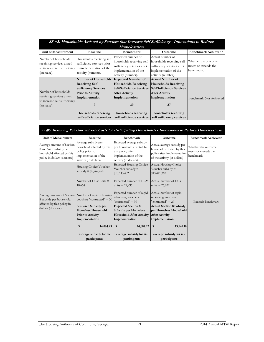| SS #5: Households Assisted by Services that Increase Self Sufficiency - Innovations to Reduce   |                                                                                                                                                                                                              |                                                                                                                                                                       |                                                                                                                                                                                           |                                                           |  |  |  |
|-------------------------------------------------------------------------------------------------|--------------------------------------------------------------------------------------------------------------------------------------------------------------------------------------------------------------|-----------------------------------------------------------------------------------------------------------------------------------------------------------------------|-------------------------------------------------------------------------------------------------------------------------------------------------------------------------------------------|-----------------------------------------------------------|--|--|--|
|                                                                                                 | <b>Homelessness</b>                                                                                                                                                                                          |                                                                                                                                                                       |                                                                                                                                                                                           |                                                           |  |  |  |
| Unit of Measurement                                                                             | <b>Baseline</b>                                                                                                                                                                                              | Benchmark                                                                                                                                                             | Outcome                                                                                                                                                                                   | <b>Benchmark Achieved?</b>                                |  |  |  |
| Number of households<br>receiving services aimed<br>to increase self sufficiency<br>(increase). | Households receiving self<br>sufficiency services prior<br>to implementation of the<br>activity (number).                                                                                                    | Expected number of<br>households receiving self<br>sufficiency services after<br>implementation of the<br>activity (number).                                          | Actual number of<br>households receiving self<br>sufficiency services after<br>implementation of the<br>activity (number).                                                                | Whether the outcome<br>meets or exceeds the<br>benchmark. |  |  |  |
| Number of households<br>receiving services aimed<br>to increase self sufficiency<br>(increase). | Number of Households Expected Number of<br><b>Receiving Self-</b><br><b>Sufficiency Services</b><br>Prior to Activity<br>Implementation<br>$\mathbf{0}$<br>households receiving<br>self sufficiency services | <b>Households Receiving</b><br><b>Self-Sufficiency Services</b><br><b>After Activity</b><br>Implementation<br>30<br>households receiving<br>self sufficiency services | Actual Number of<br><b>Households Receiving</b><br><b>Self-Sufficiency Services</b><br><b>After Activity</b><br>Implementation<br>27<br>households receiving<br>self sufficiency services | Benchmark Not Achieved                                    |  |  |  |

|  | SS #6: Reducing Per Unit Subsidy Costs for Participating Households - Innovations to Reduce Homelessness |
|--|----------------------------------------------------------------------------------------------------------|
|  |                                                                                                          |

| <b>Baseline</b>                                                                                                         | <b>Benchmark</b>                                                                                                              | Outcome                                                                                                                                                                                                                                                                          | <b>Benchmark Achieved?</b>                                |
|-------------------------------------------------------------------------------------------------------------------------|-------------------------------------------------------------------------------------------------------------------------------|----------------------------------------------------------------------------------------------------------------------------------------------------------------------------------------------------------------------------------------------------------------------------------|-----------------------------------------------------------|
| Average subsidy per<br>household affected by this<br>policy prior to<br>implementation of the<br>activity (in dollars). | Expected average subsidy<br>per household affected by<br>this policy after<br>implementation of the<br>activity (in dollars). | Actual average subsidy per<br>household affected by this<br>policy after implementation<br>of the activity (in dollars).                                                                                                                                                         | Whether the outcome<br>meets or exceeds the<br>benchmark. |
| Housing Choice Voucher<br>subsidy = $$8,762,268$                                                                        |                                                                                                                               | <b>Actual Housing Choice</b><br>Voucher subsidy $=$<br>\$13,441,362                                                                                                                                                                                                              |                                                           |
| Number of HCV units $=$<br>18,664                                                                                       |                                                                                                                               | Actual number of HCV<br>units = $26,032$                                                                                                                                                                                                                                         |                                                           |
| Number of rapid rehousing<br>vouchers "contracted" = 30                                                                 | rehousing vouchers<br>"contracted" $=$ 30                                                                                     | Actual number of rapid<br>rehousing vouchers<br>"contracted" = $27$                                                                                                                                                                                                              | <b>Exceeds Benchmark</b>                                  |
| Section 8 Subsidy per                                                                                                   |                                                                                                                               | <b>Actual Section 8 Subsidy</b>                                                                                                                                                                                                                                                  |                                                           |
| <b>Homeless Household</b>                                                                                               |                                                                                                                               | per Homeless Household                                                                                                                                                                                                                                                           |                                                           |
|                                                                                                                         |                                                                                                                               |                                                                                                                                                                                                                                                                                  |                                                           |
|                                                                                                                         |                                                                                                                               |                                                                                                                                                                                                                                                                                  |                                                           |
| \$<br>14,084.23                                                                                                         | \$<br>14,084.23                                                                                                               | 13,941.18<br>\$                                                                                                                                                                                                                                                                  |                                                           |
| average subsidy for rrv                                                                                                 | average subsidy for rrv                                                                                                       | average subsidy for rrv                                                                                                                                                                                                                                                          |                                                           |
|                                                                                                                         | Prior to Activity<br>Implementation<br>participants                                                                           | <b>Expected Housing Choice</b><br>Voucher subsidy $=$<br>\$13,143,402<br>Expected number of HCV<br>units = $27,996$<br>Expected number of rapid<br><b>Expected Section 8</b><br><b>Subsidy per Homeless</b><br><b>Household After Activity</b><br>Implementation<br>participants | <b>After Activity</b><br>Implementation<br>participants   |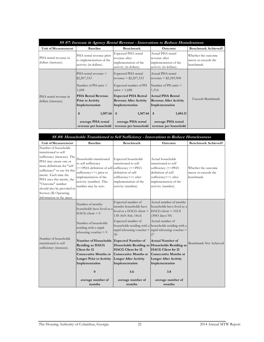| SS #7: Increase in Agency Rental Revenue - Innovations to Reduce Homelessness |                                                                                           |                                                                                                 |                                                                                               |                                                           |  |
|-------------------------------------------------------------------------------|-------------------------------------------------------------------------------------------|-------------------------------------------------------------------------------------------------|-----------------------------------------------------------------------------------------------|-----------------------------------------------------------|--|
| Unit of Measurement                                                           | <b>Baseline</b>                                                                           | Benchmark                                                                                       | <b>Outcome</b>                                                                                | <b>Benchmark Achieved?</b>                                |  |
| PHA rental revenue in<br>dollars (increase).                                  | PHA rental revenue prior<br>to implementation of the<br>activity (in dollars).            | Expected PHA rental<br>revenue after<br>implementation of the<br>activity (in dollars).         | Actual PHA rental<br>revenue after<br>implementation of the<br>activity (in dollars).         | Whether the outcome<br>meets or exceeds the<br>benchmark. |  |
|                                                                               | $PHA$ rental revenue $=$<br>\$2,207,333<br>Number of $PH$ units $=$<br>1,688              | Expected PHA rental<br>revenue = $$2,207,333$<br>Expected number of PH<br>units $= 1,688$       | Actual PHA rental<br>revenue = $$2,249,908$<br>Number of $PH$ units $=$<br>1,516              |                                                           |  |
| PHA rental revenue in<br>dollars (increase).                                  | <b>PHA Rental Revenue</b><br><b>Prior to Activity</b><br>Implementation<br>\$<br>1,307.66 | <b>Expected PHA Rental</b><br><b>Revenue After Activity</b><br>Implementation<br>1,307.66<br>\$ | <b>Actual PHA Rental</b><br><b>Revenue After Activity</b><br>Implementation<br>1,484.11<br>\$ | Exceeds Benchmark                                         |  |
|                                                                               | average PHA rental<br>revenue per household                                               | average PHA rental<br>revenue per household                                                     | average PHA rental<br>revenue per household                                                   |                                                           |  |

| SS #8: Households Transitioned to Self Sufficiency - Innovations to Reduce Homelessness                                                                                                                                                                                                                                          |                                                                                                                                                                                                                                  |                                                                                                                                                 |                                                                                                                                                                                                                                                          |                                                           |  |
|----------------------------------------------------------------------------------------------------------------------------------------------------------------------------------------------------------------------------------------------------------------------------------------------------------------------------------|----------------------------------------------------------------------------------------------------------------------------------------------------------------------------------------------------------------------------------|-------------------------------------------------------------------------------------------------------------------------------------------------|----------------------------------------------------------------------------------------------------------------------------------------------------------------------------------------------------------------------------------------------------------|-----------------------------------------------------------|--|
| Unit of Measurement                                                                                                                                                                                                                                                                                                              | <b>Baseline</b>                                                                                                                                                                                                                  | Benchmark                                                                                                                                       | Outcome                                                                                                                                                                                                                                                  | <b>Benchmark Achieved?</b>                                |  |
| Number of households<br>transitioned to self<br>sufficiency (increase). The<br>PHA may create one or<br>more definitions for "self<br>sufficiency" to use for this<br>metric. Each time the<br>PHA uses this metric, the<br>"Outcome" number<br>should also be provided in<br>Section (II) Operating<br>Information in the space | Households transitioned<br>to self sufficiency<br>(< <pha (<<pha<br="" definition="" of="" self-sufficiency="">sufficiency&gt;&gt;) prior to<br/>implementation of the<br/>activity (number). This<br/>number may be zero.</pha> | Expected households<br>transitioned to self<br>definition of self-<br>sufficiency>>) after<br>implementation of the<br>activity (number).       | Actual households<br>transitioned to self<br>sufficiency (< <pha<br>definition of self-<br/>sufficiency&gt;&gt;) after<br/>implementation of the<br/>activity (number).</pha<br>                                                                         | Whether the outcome<br>meets or exceeds the<br>benchmark. |  |
|                                                                                                                                                                                                                                                                                                                                  | Number of months<br>households have lived as a<br>$HACG$ client = 0<br>Number of households<br>residing with a rapid<br>rehousing voucher $= 0$                                                                                  | Expected number of<br>months households have<br>lived as a HACG client $=$<br>138 (4x9; 8x6; 18x3)<br>Expected number of<br>30                  | Actual number of months<br>households have lived as a<br>$HACG$ client = 102.8<br>$(3083 \text{ days}/30)$<br>Actual number of<br>households residing with a households residing with a<br>rapid rehousing voucher $=$ rapid rehousing voucher $=$<br>27 |                                                           |  |
| Number of households<br>transitioned to self<br>sufficiency (increase).                                                                                                                                                                                                                                                          | Number of Households<br><b>Residing as HACG</b><br>Client for 12<br><b>Consecutive Months or</b><br><b>Longer Prior to Activity</b><br>Implementation<br>$\bf{0}$                                                                | <b>Expected Number of</b><br><b>HACG</b> Client for 12<br><b>Consecutive Months or</b><br><b>Longer After Activity</b><br>Implementation<br>4.6 | <b>Actual Number of</b><br>Households Residing as Households Residing as<br><b>HACG</b> Client for 12<br>Consecutive Months or<br><b>Longer After Activity</b><br>Implementation<br>3.8                                                                  | Benchmark Not Achieved                                    |  |
|                                                                                                                                                                                                                                                                                                                                  | average number of<br>months                                                                                                                                                                                                      | average number of<br>months                                                                                                                     | average number of<br>months                                                                                                                                                                                                                              |                                                           |  |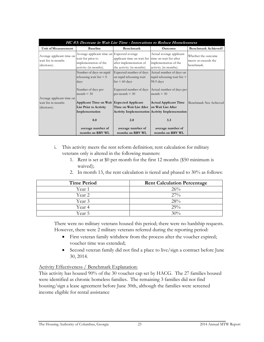| HC #3: Decrease in Wait List Time - Innovations to Reduce Homelessness |                                                                                                                    |                                                                                                                               |                                                                                                                     |                                                           |
|------------------------------------------------------------------------|--------------------------------------------------------------------------------------------------------------------|-------------------------------------------------------------------------------------------------------------------------------|---------------------------------------------------------------------------------------------------------------------|-----------------------------------------------------------|
| Unit of Measurement                                                    | <b>Baseline</b>                                                                                                    | Benchmark                                                                                                                     | Outcome                                                                                                             | <b>Benchmark Achieved?</b>                                |
| Average applicant time on<br>wait list in months<br>(decrease).        | Average applicant time on Expected average<br>wait list prior to<br>implementation of the<br>activity (in months). | applicant time on wait list time on wait list after<br>after implementation of<br>the activity (in months).                   | Actual average applicant<br>implementation of the<br>activity (in months).                                          | Whether the outcome<br>meets or exceeds the<br>benchmark. |
|                                                                        | Number of days on rapid<br>rehousing wait list $= 0$<br>days<br>Number of days per<br>month $=$ 30                 | Expected number of days<br>on rapid rehousing wait<br>$list = 60 \text{ days}$<br>Expected number of days<br>per month $=$ 30 | Actual number of days on<br>rapid rehousing wait list $=$<br>98.9 days<br>Actual number of days per<br>month $=$ 30 |                                                           |
| Average applicant time on<br>wait list in months<br>(decrease).        | Applicant Time on Wait Expected Applicant<br><b>List Prior to Activity</b><br>Implementation<br>0.0                | Time on Wait List After<br>2.0                                                                                                | <b>Actual Applicant Time</b><br>on Wait List After<br><b>Activity Implementation Activity Implementation</b><br>3.3 | Benchmark Not Achieved                                    |
|                                                                        | average number of<br>months on RRV WL                                                                              | average number of<br>months on RRV WL                                                                                         | average number of<br>months on RRV WL                                                                               |                                                           |

- i. This activity meets the rent reform definition; rent calculation for military veterans only is altered in the following manners:
	- 1. Rent is set at \$0 per month for the first 12 months (\$50 minimum is waived);
	- 2. In month 13, the rent calculation is tiered and phased to 30% as follows:

| <b>Time Period</b> | <b>Rent Calculation Percentage</b> |
|--------------------|------------------------------------|
| Year 1             | 26%                                |
| Year 2             | $27\%$                             |
| Year 3             | 28%                                |
| Year 4             | 29%                                |
| Year 5             | 30%                                |

There were no military veterans housed this period; there were no hardship requests. However, there were 2 military veterans referred during the reporting period:

- First veteran family withdrew from the process after the voucher expired; voucher time was extended;
- Second veteran family did not find a place to live/sign a contract before June 30, 2014.

#### Activity Effectiveness / Benchmark Explanation:

This activity has housed 90% of the 30 voucher cap set by HACG. The 27 families housed were identified as chronic homeless families. The remaining 3 families did not find housing/sign a lease agreement before June 30th, although the families were screened income eligible for rental assistance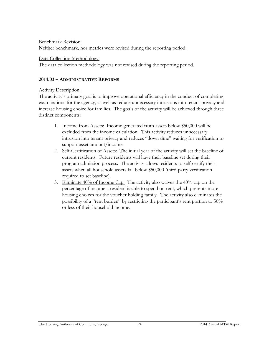#### Benchmark Revision:

Neither benchmark, nor metrics were revised during the reporting period.

#### Data Collection Methodology:

The data collection methodology was not revised during the reporting period.

#### **2014.03 – ADMINISTRATIVE REFORMS**

#### Activity Description:

The activity's primary goal is to improve operational efficiency in the conduct of completing examinations for the agency, as well as reduce unnecessary intrusions into tenant privacy and increase housing choice for families. The goals of the activity will be achieved through three distinct components:

- 1. Income from Assets: Income generated from assets below \$50,000 will be excluded from the income calculation. This activity reduces unnecessary intrusion into tenant privacy and reduces "down time" waiting for verification to support asset amount/income.
- 2. Self-Certification of Assets: The initial year of the activity will set the baseline of current residents. Future residents will have their baseline set during their program admission process. The activity allows residents to self-certify their assets when all household assets fall below \$50,000 (third-party verification required to set baseline).
- 3. Eliminate  $40\%$  of Income Cap: The activity also waives the  $40\%$  cap on the percentage of income a resident is able to spend on rent, which presents more housing choices for the voucher holding family. The activity also eliminates the possibility of a "rent burden" by restricting the participant's rent portion to 50% or less of their household income.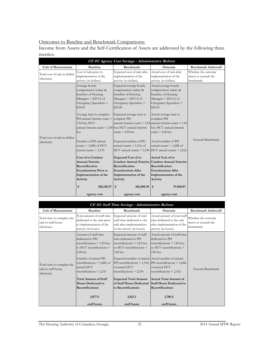#### Outcomes to Baseline and Benchmark Comparisons:

Income from Assets and the Self-Certification of Assets are addressed by the following three metrics:

| CE #1: Agency Cost Savings - Administrative Reform |                                                                                                                                                                                              |                                                                                                                                                                         |                                                                                                                                                                                   |                                                           |
|----------------------------------------------------|----------------------------------------------------------------------------------------------------------------------------------------------------------------------------------------------|-------------------------------------------------------------------------------------------------------------------------------------------------------------------------|-----------------------------------------------------------------------------------------------------------------------------------------------------------------------------------|-----------------------------------------------------------|
| <b>Unit of Measurement</b>                         | <b>Baseline</b>                                                                                                                                                                              | <b>Benchmark</b>                                                                                                                                                        | <b>Outcome</b>                                                                                                                                                                    | <b>Benchmark Achieved?</b>                                |
| Total cost of task in dollars<br>(decrease).       | Cost of task prior to<br>implementation of the<br>activity (in dollars).                                                                                                                     | Expected cost of task after<br>implementation of the<br>activity (in dollars).                                                                                          | Actual cost of task after<br>implementation of the<br>activity (in dollars).                                                                                                      | Whether the outcome<br>meets or exceeds the<br>benchmark. |
|                                                    | Average hourly<br>compensation (salary &<br>benefits) of Housing<br>Managers $= $29.13$ ; of<br>Occupancy Specialists =<br>\$24.50<br>Average time to complete<br>PH annual/interim exam $=$ | Expected average hourly<br>compensation (salary &<br>benefits) of Housing<br>Managers $=$ \$29.13; of<br>Occupancy Specialists =<br>\$24.50<br>Expected average time to | Actual average hourly<br>compensation (salary &<br>benefits) of Housing<br>Managers $= $29.13$ ; of<br>Occupancy Specialists =<br>\$24.50<br>Actual average time to               |                                                           |
|                                                    | 1.83 hrs; HCV<br>$annual/interim$ exam = 2.00 hrs; HCV annual/interim<br>hrs                                                                                                                 | complete PH<br>$exam = 2.00$ hrs                                                                                                                                        | complete PH<br>annual/interim exam = $1.83$ annual/interim exam = $1.83$<br>hrs; HCV annual/interim<br>$exam = 2.00$ hrs                                                          |                                                           |
| Total cost of task in dollars<br>(decrease).       | Number of PH annual<br>$exams = 1,688$ ; of HCV<br>annual exams $= 2,333$                                                                                                                    | Expected number of PH<br>annual exams $= 1,516$ ; of                                                                                                                    | Actual number of PH<br>annual exams $= 1,688$ ; of<br>$HCV$ annual exams = 2,534 $HCV$ annual exams = 2,162                                                                       | <b>Exceeds Benchmark</b>                                  |
|                                                    | <b>Cost of to Conduct</b><br>Annual/Interim<br>Recertification<br><b>Examinations Prior to</b><br>Implementation of the<br>Activity<br>\$<br>102,150.37                                      | <b>Expected Cost of to</b><br>Recertification<br><b>Examinations After</b><br>Implementation of the<br>Activity<br>\$<br>102,490.39                                     | <b>Actual Cost of to</b><br>Conduct Annual/Interim Conduct Annual/Interim<br>Recertification<br><b>Examinations After</b><br>Implementation of the<br>Activity<br>97,960.87<br>\$ |                                                           |
|                                                    | agency cost                                                                                                                                                                                  | agency cost                                                                                                                                                             | agency cost                                                                                                                                                                       |                                                           |

|                                                                  | CE #2: Staff Time Savings - Administrative Reform                                                                                               |                                                                                                                                                                                      |                                                                                                                               |                                                           |  |
|------------------------------------------------------------------|-------------------------------------------------------------------------------------------------------------------------------------------------|--------------------------------------------------------------------------------------------------------------------------------------------------------------------------------------|-------------------------------------------------------------------------------------------------------------------------------|-----------------------------------------------------------|--|
| Unit of Measurement                                              | <b>Baseline</b>                                                                                                                                 | <b>Benchmark</b>                                                                                                                                                                     | Outcome                                                                                                                       | <b>Benchmark Achieved?</b>                                |  |
| Total time to complete the<br>task in staff hours<br>(decrease). | Total amount of staff time<br>dedicated to the task prior<br>to implementation of the<br>activity (in hours).                                   | Expected amount of total<br>staff time dedicated to the<br>task after implementation<br>of the activity (in hours).                                                                  | Actual amount of total staff<br>time dedicated to the task<br>after implementation of the<br>activity (in hours).             | Whether the outcome<br>meets or exceeds the<br>benchmark. |  |
|                                                                  | Amount of staff time<br>dedicated to PH<br>$recertifications = 1.83 hrs;$<br>to $HCV$ recertifications $=$<br>$2.00$ hrs<br>Number of annual PH | Expected amount of staff<br>time dedicated to PH<br>recertifications $= 1.83$ hrs;<br>to HCV recertifications $=$<br>$2.00$ hrs<br>Expected number of annual Actual number of annual | Actual amount of staff time<br>dedicated to PH<br>recertifications $= 1.83$ hrs;<br>to HCV recertifications $=$<br>$2.00$ hrs |                                                           |  |
| Total time to complete the<br>task in staff hours<br>(decrease). | recertifications $= 1,688$ ; of<br>annual HCV<br>$recertifications = 2,333$                                                                     | of annual HCV<br>recertifications = $2,534$                                                                                                                                          | PH recertifications = $1,516$ ; PH recertifications = $1,688$ ;<br>of annual HCV<br>recertifications = $2,162$                | Exceeds Benchmark                                         |  |
|                                                                  | <b>Total Amount of Staff</b><br><b>Hours Dedicated to</b><br><b>Recertifications</b>                                                            | <b>Expected Total Amount</b><br>of Staff Hours Dedicated Staff Hours Dedicated to<br>to Recertifications                                                                             | Actual Total Amount of<br>Recertifications                                                                                    |                                                           |  |
|                                                                  | 3,877.5<br>staff hours                                                                                                                          | 3,921.1<br>staff hours                                                                                                                                                               | 3,706.5<br>staff hours                                                                                                        |                                                           |  |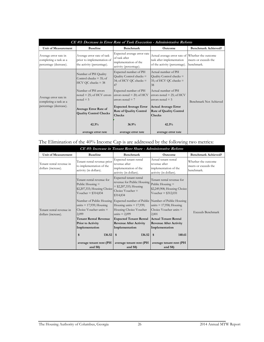| CE #3: Decrease in Error Rate of Task Execution - Administrative Reform   |                                                                                        |                                                                                                 |                                                                                                                |                                    |
|---------------------------------------------------------------------------|----------------------------------------------------------------------------------------|-------------------------------------------------------------------------------------------------|----------------------------------------------------------------------------------------------------------------|------------------------------------|
| Unit of Measurement                                                       | <b>Baseline</b>                                                                        | <b>Benchmark</b>                                                                                | Outcome                                                                                                        | <b>Benchmark Achieved?</b>         |
| Average error rate in<br>completing a task as a<br>percentage (decrease). | Average error rate of task<br>prior to implementation of<br>the activity (percentage). | Expected average error rate<br>of task after<br>implementation of the<br>activity (percentage). | Actual average error rate of Whether the outcome<br>task after implementation<br>of the activity (percentage). | meets or exceeds the<br>benchmark. |
|                                                                           | Number of PH Quality<br>Control checks $=$ 35; of<br>$HCV$ QC checks = 38              | Expected number of PH<br>Quality Control checks =<br>34; of HCV QC checks $=$<br>47             | Actual number of PH<br>Quality Control checks $=$<br>35; of HCV QC checks $=$<br>38                            |                                    |
| Average error rate in<br>completing a task as a<br>percentage (decrease). | Number of PH errors<br>noted $= 25$ ; of HCV errors<br>$noted = 5$                     | Expected number of PH<br>errors noted $= 20$ ; of HCV<br>errors noted $= 7$                     | Actual number of PH<br>errors noted $= 25$ ; of HCV<br>errors noted $= 5$                                      | Benchmark Not Achieved             |
|                                                                           | <b>Average Error Rate of</b><br><b>Quality Control Checks</b>                          | <b>Expected Average Error</b><br><b>Rate of Quality Control</b><br><b>Checks</b>                | <b>Actual Average Error</b><br><b>Rate of Quality Control</b><br><b>Checks</b>                                 |                                    |
|                                                                           | 42.3%<br>average error rate                                                            | 36.9%<br>average error rate                                                                     | 42.3%<br>average error rate                                                                                    |                                    |

The Elimination of the 40% Income Cap is are addressed by the following two metrics:

| CE #5: Increase in Tenant Rent Share - Administrative Reform |                                                                                                                                               |                                                                                                                                                                                                                                            |                                                                                                                                            |                                                           |  |
|--------------------------------------------------------------|-----------------------------------------------------------------------------------------------------------------------------------------------|--------------------------------------------------------------------------------------------------------------------------------------------------------------------------------------------------------------------------------------------|--------------------------------------------------------------------------------------------------------------------------------------------|-----------------------------------------------------------|--|
| <b>Unit of Measurement</b>                                   | <b>Baseline</b>                                                                                                                               | <b>Benchmark</b>                                                                                                                                                                                                                           | <b>Outcome</b>                                                                                                                             | <b>Benchmark Achieved?</b>                                |  |
| Tenant rental revenue in<br>dollars (increase).              | Tenant rental revenue prior<br>to implementation of the<br>activity (in dollars).                                                             | Expected tenant rental<br>revenue after<br>implementation of the<br>activity (in dollars).                                                                                                                                                 | Actual tenant rental<br>revenue after<br>implementation of the<br>activity (in dollars).                                                   | Whether the outcome<br>meets or exceeds the<br>benchmark. |  |
|                                                              | Tenant rental revenue for<br>Public Housing $=$<br>\$2,207,333; Housing Choice<br>Voucher = $$314,834$                                        | Expected tenant rental<br>revenue for Public Housing<br>$=$ \$2,207,333; Housing<br>Choice Voucher $=$<br>\$314,834                                                                                                                        | Tenant rental revenue for<br>Public Housing $=$<br>\$2,249,908; Housing Choice<br>Voucher = $$312,031$                                     |                                                           |  |
| Tenant rental revenue in<br>dollars (increase).              | units $= 17,939$ ; Housing<br>Choice Voucher units $=$<br>2,099<br><b>Tenant Rental Revenue</b><br><b>Prior to Activity</b><br>Implementation | Number of Public Housing Expected number of Public Number of Public Housing<br>Housing units $= 17,939$ ;<br>Housing Choice Voucher<br>units $= 2,099$<br><b>Expected Tenant Rental</b><br><b>Revenue After Activity</b><br>Implementation | units $= 17,958$ ; Housing<br>Choice Voucher units $=$<br>2,001<br>Actual Tenant Rental<br><b>Revenue After Activity</b><br>Implementation | Exceeds Benchmark                                         |  |
|                                                              | 136.52<br>\$                                                                                                                                  | 136.52<br>\$                                                                                                                                                                                                                               | 140.61<br>\$                                                                                                                               |                                                           |  |
|                                                              | average tenant rent (PH<br>and S8)                                                                                                            | average tenant rent (PH<br>and S <sub>8</sub>                                                                                                                                                                                              | average tenant rent (PH<br>and S <sub>8</sub>                                                                                              |                                                           |  |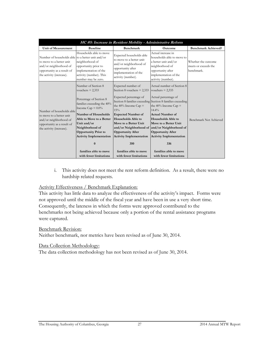|                                                                                                                                                                   | HC #5: Increase in Resident Mobility - Administrative Reform                                                                                                                                                                                                                                                                              |                                                                                                                                                                                                                                                                                                                   |                                                                                                                                                                                                                                                                                                                                                                                                                                |                                                           |  |
|-------------------------------------------------------------------------------------------------------------------------------------------------------------------|-------------------------------------------------------------------------------------------------------------------------------------------------------------------------------------------------------------------------------------------------------------------------------------------------------------------------------------------|-------------------------------------------------------------------------------------------------------------------------------------------------------------------------------------------------------------------------------------------------------------------------------------------------------------------|--------------------------------------------------------------------------------------------------------------------------------------------------------------------------------------------------------------------------------------------------------------------------------------------------------------------------------------------------------------------------------------------------------------------------------|-----------------------------------------------------------|--|
| <b>Unit of Measurement</b>                                                                                                                                        | <b>Baseline</b>                                                                                                                                                                                                                                                                                                                           | <b>Benchmark</b>                                                                                                                                                                                                                                                                                                  | Outcome                                                                                                                                                                                                                                                                                                                                                                                                                        | <b>Benchmark Achieved?</b>                                |  |
| Number of households able to a better unit and/or<br>to move to a better unit<br>and/or neighborhood of<br>opportunity as a result of<br>the activity (increase). | Households able to move<br>neighborhood of<br>opportunity prior to<br>implementation of the<br>activity (number). This<br>number may be zero.                                                                                                                                                                                             | Expected households able<br>to move to a better unit<br>and/or neighborhood of<br>opportunity after<br>implementation of the<br>activity (number).                                                                                                                                                                | Actual increase in<br>households able to move to<br>a better unit and/or<br>neighborhood of<br>opportunity after<br>implementation of the<br>activity (number).                                                                                                                                                                                                                                                                | Whether the outcome<br>meets or exceeds the<br>benchmark. |  |
| Number of households able<br>to move to a better unit<br>and/or neighborhood of<br>opportunity as a result of<br>the activity (increase).                         | Number of Section 8<br>vouchers $= 2,333$<br>Percentage of Section 8<br>families exceeding the 40%<br>Income Cap = $0.0\%$<br>Number of Households<br>Able to Move to a Better<br>Unit and/or<br>Neighborhood of<br>Opportunity Prior to<br><b>Activity Implementation</b><br>$\bf{0}$<br>families able to move<br>with fewer limitations | Expected number of<br>Section 8 vouchers $= 2,333$<br>Expected percentage of<br>the 40% Income Cap $=$<br>15%<br><b>Expected Number of</b><br>Households Able to<br>Move to a Better Unit<br><b>Opportunity After</b><br><b>Activity Implementation</b><br>350<br>families able to move<br>with fewer limitations | Actual number of Section 8<br>vouchers $= 2,333$<br>Actual percentage of<br>Section 8 families exceeding Section 8 families exceeding<br>the 40% Income Cap $=$<br>$14.4\%$<br><b>Actual Number of</b><br>Households Able to<br>Move to a Better Unit<br>and/or Neighborhood of and/or Neighborhood of<br><b>Opportunity After</b><br><b>Activity Implementation</b><br>336<br>families able to move<br>with fewer limitations | Benchmark Not Achieved                                    |  |

i. This activity does not meet the rent reform definition. As a result, there were no hardship related requests.

#### Activity Effectiveness / Benchmark Explanation:

This activity has little data to analyze the effectiveness of the activity's impact. Forms were not approved until the middle of the fiscal year and have been in use a very short time. Consequently, the lateness in which the forms were approved contributed to the benchmarks not being achieved because only a portion of the rental assistance programs were captured.

#### Benchmark Revision:

Neither benchmark, nor metrics have been revised as of June 30, 2014.

#### Data Collection Methodology:

The data collection methodology has not been revised as of June 30, 2014.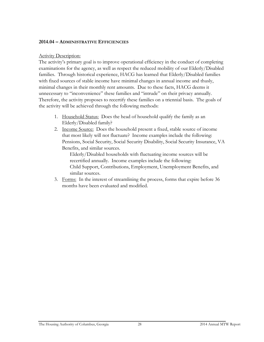#### **2014.04 – ADMINISTRATIVE EFFICIENCIES**

#### Activity Description:

The activity's primary goal is to improve operational efficiency in the conduct of completing examinations for the agency, as well as respect the reduced mobility of our Elderly/Disabled families. Through historical experience, HACG has learned that Elderly/Disabled families with fixed sources of stable income have minimal changes in annual income and thusly, minimal changes in their monthly rent amounts. Due to these facts, HACG deems it unnecessary to "inconvenience" these families and "intrude" on their privacy annually. Therefore, the activity proposes to recertify these families on a triennial basis. The goals of the activity will be achieved through the following methods:

- 1. Household Status: Does the head of household qualify the family as an Elderly/Disabled family?
- 2. Income Source: Does the household present a fixed, stable source of income that most likely will not fluctuate? Income examples include the following: Pensions, Social Security, Social Security Disability, Social Security Insurance, VA Benefits, and similar sources.

Elderly/Disabled households with fluctuating income sources will be recertified annually. Income examples include the following: Child Support, Contributions, Employment, Unemployment Benefits, and similar sources.

3. Forms: In the interest of streamlining the process, forms that expire before 36 months have been evaluated and modified.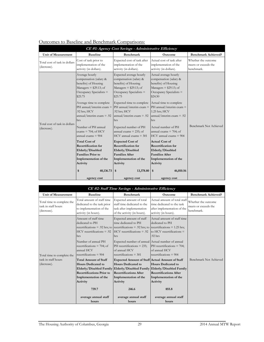| CE #1: Agency Cost Savings - Administrative Efficiency |                                                                                                                                                                                                                                                                                                                                                                                   |                                                                                                                                                                                                                                                                                                                                                                    |                                                                                                                                                                                                                                                                                                                                                                                                                               |                                                           |  |
|--------------------------------------------------------|-----------------------------------------------------------------------------------------------------------------------------------------------------------------------------------------------------------------------------------------------------------------------------------------------------------------------------------------------------------------------------------|--------------------------------------------------------------------------------------------------------------------------------------------------------------------------------------------------------------------------------------------------------------------------------------------------------------------------------------------------------------------|-------------------------------------------------------------------------------------------------------------------------------------------------------------------------------------------------------------------------------------------------------------------------------------------------------------------------------------------------------------------------------------------------------------------------------|-----------------------------------------------------------|--|
| <b>Unit of Measurement</b>                             | <b>Baseline</b>                                                                                                                                                                                                                                                                                                                                                                   | <b>Benchmark</b>                                                                                                                                                                                                                                                                                                                                                   | <b>Outcome</b>                                                                                                                                                                                                                                                                                                                                                                                                                | <b>Benchmark Achieved?</b>                                |  |
| Total cost of task in dollars<br>(decrease).           | Cost of task prior to<br>implementation of the<br>activity (in dollars).                                                                                                                                                                                                                                                                                                          | Expected cost of task after<br>implementation of the<br>activity (in dollars).                                                                                                                                                                                                                                                                                     | Actual cost of task after<br>implementation of the<br>activity (in dollars).                                                                                                                                                                                                                                                                                                                                                  | Whether the outcome<br>meets or exceeds the<br>benchmark. |  |
| Total cost of task in dollars<br>(decrease).           | Average hourly<br>compensation (salary &<br>benefits) of Housing<br>Managers = $$29.13$ ; of<br>Occupancy Specialists =<br>\$25.75<br>Average time to complete<br>PH annual/interim exam $=$<br>.92 hrs; HCV<br>$annual/interim exam = .92$<br>hrs<br>Number of PH annual<br>$\text{exams} = 704$ ; of HCV<br>annual exams $= 904$<br><b>Total Cost of</b><br>Recertification for | Expected average hourly<br>compensation (salary &<br>benefits) of Housing<br>Managers = $$29.13$ ; of<br>Occupancy Specialists =<br>\$25.75<br>Expected time to complete<br>.92 hrs; HCV<br>$annual/interim$ exam = .92<br>hrs<br>Expected number of PH<br>annual exams $= 235$ ; of<br>$HCV$ annual exams = 301<br><b>Expected Cost of</b><br>Recertification for | Actual average hourly<br>compensation (salary &<br>benefits) of Housing<br>Managers $= $29.13$ ; of<br>Occupancy Specialists =<br>\$24.50<br>Actual time to complete<br>PH annual/interim exam $=$ PH annual/interim exam $=$<br>1.25 hrs; HCV<br>annual/interim exam $= .92$<br>hrs<br>Actual number of PH<br>annual exams $= 704$ ; of<br>$HCV$ annual exams $= 904$<br><b>Actual Cost of</b><br><b>Recertification for</b> | Benchmark Not Achieved                                    |  |
|                                                        | Elderly/Disabled<br><b>Families Prior to</b><br>Implementation of the<br>Activity                                                                                                                                                                                                                                                                                                 | Elderly/Disabled<br><b>Families After</b><br>Implementation of the<br>Activity                                                                                                                                                                                                                                                                                     | Elderly/Disabled<br><b>Families After</b><br>Implementation of the<br>Activity                                                                                                                                                                                                                                                                                                                                                |                                                           |  |
|                                                        | 40,136.73<br>\$<br>agency cost                                                                                                                                                                                                                                                                                                                                                    | \$<br>13,378.80<br>agency cost                                                                                                                                                                                                                                                                                                                                     | 46,010.56<br>\$<br>agency cost                                                                                                                                                                                                                                                                                                                                                                                                |                                                           |  |

|  | Outcomes to Baseline and Benchmark Comparisons: |
|--|-------------------------------------------------|
|  |                                                 |

|                                                                  |                                                                                                                                                                                                | CE #2: Staff Time Savings - Administrative Efficiency                                                                                                                                                                                                                                                                 |                                                                                                                                                                       |                                                           |
|------------------------------------------------------------------|------------------------------------------------------------------------------------------------------------------------------------------------------------------------------------------------|-----------------------------------------------------------------------------------------------------------------------------------------------------------------------------------------------------------------------------------------------------------------------------------------------------------------------|-----------------------------------------------------------------------------------------------------------------------------------------------------------------------|-----------------------------------------------------------|
| <b>Unit of Measurement</b>                                       | <b>Baseline</b>                                                                                                                                                                                | <b>Benchmark</b>                                                                                                                                                                                                                                                                                                      | Outcome                                                                                                                                                               | <b>Benchmark Achieved?</b>                                |
| Total time to complete the<br>task in staff hours<br>(decrease). | Total amount of staff time<br>dedicated to the task prior<br>to implementation of the<br>activity (in hours).                                                                                  | Expected amount of total<br>staff time dedicated to the<br>task after implementation<br>of the activity (in hours).                                                                                                                                                                                                   | Actual amount of total staff<br>time dedicated to the task<br>after implementation of the<br>activity (in hours).                                                     | Whether the outcome<br>meets or exceeds the<br>benchmark. |
| Total time to complete the                                       | Amount of staff time<br>dedicated to PH<br>$HCV$ recertifications = .92<br>hrs<br>Number of annual PH<br>recertifications = 704; of<br>annual HCV<br>recertifications $= 904$                  | Expected amount of staff<br>time dedicated to PH<br>recertifications = .92 hrs; to recertifications = .92 hrs; to recertifications = 1.25 hrs;<br>$HCV$ recertifications = .92<br>hrs<br>Expected number of annual Actual number of annual<br>PH recertifications = 235;<br>of annual HCV<br>recertifications $=$ 301 | Actual amount of staff time<br>dedicated to PH<br>to HCV recertifications $=$<br>$.92$ hrs<br>PH recertifications = 704;<br>of annual HCV<br>recertifications $= 904$ |                                                           |
| task in staff hours<br>(decrease).                               | <b>Total Amount of Staff</b><br><b>Hours Dedicated to</b><br>Elderly/Disabled Family<br><b>Recertifications Prior to</b><br>Implementation of the<br>Activity<br>739.7<br>average annual staff | Expected Amount of Staff Actual Amount of Staff<br>Hours Dedicated to<br>Elderly/Disabled Family Elderly/Disabled Family<br><b>Recertifications After</b><br>Implementation of the<br>Activity<br>246.6<br>average annual staff                                                                                       | Hours Dedicated to<br><b>Recertifications After</b><br>Implementation of the<br>Activity<br>855.8<br>average annual staff                                             | Benchmark Not Achieved                                    |
|                                                                  | hours                                                                                                                                                                                          | hours                                                                                                                                                                                                                                                                                                                 | hours                                                                                                                                                                 |                                                           |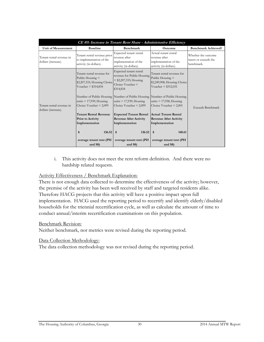|                                                 | CE #5: Increase in Tenant Rent Share - Administrative Efficiency                                       |                                                                                                                                      |                                                                                                        |                                                           |  |
|-------------------------------------------------|--------------------------------------------------------------------------------------------------------|--------------------------------------------------------------------------------------------------------------------------------------|--------------------------------------------------------------------------------------------------------|-----------------------------------------------------------|--|
| <b>Unit of Measurement</b>                      | <b>Baseline</b>                                                                                        | <b>Benchmark</b>                                                                                                                     | <b>Outcome</b>                                                                                         | <b>Benchmark Achieved?</b>                                |  |
| Tenant rental revenue in<br>dollars (increase). | Tenant rental revenue prior<br>to implementation of the<br>activity (in dollars).                      | Expected tenant rental<br>revenue after<br>implementation of the<br>activity (in dollars).                                           | Actual tenant rental<br>revenue after<br>implementation of the<br>activity (in dollars).               | Whether the outcome<br>meets or exceeds the<br>benchmark. |  |
| Tenant rental revenue in<br>dollars (increase). | Tenant rental revenue for<br>Public Housing $=$<br>\$2,207,333; Housing Choice<br>Voucher = $$314,834$ | Expected tenant rental<br>revenue for Public Housing<br>$=$ \$2,207,333; Housing<br>$Choice Voucher =$<br>\$314,834                  | Tenant rental revenue for<br>Public Housing $=$<br>\$2,249,908; Housing Choice<br>Voucher = $$312,031$ |                                                           |  |
|                                                 | units $= 17,939$ ; Housing<br>Choice Voucher $= 2,099$                                                 | Number of Public Housing Number of Public Housing Number of Public Housing<br>units $= 17,939$ ; Housing<br>Choice Voucher $= 2,099$ | units $= 17,958$ ; Housing<br>Choice Voucher $= 2,001$                                                 | Exceeds Benchmark                                         |  |
|                                                 | <b>Tenant Rental Revenue</b><br>Prior to Activity<br>Implementation                                    | <b>Expected Tenant Rental</b><br><b>Revenue After Activity</b><br>Implementation                                                     | Actual Tenant Rental<br><b>Revenue After Activity</b><br>Implementation                                |                                                           |  |
|                                                 | \$<br>136.52                                                                                           | 136.52<br>\$                                                                                                                         | 140.61<br>\$                                                                                           |                                                           |  |
|                                                 | average tenant rent (PH<br>and S <sub>8</sub>                                                          | average tenant rent (PH<br>and S <sub>8</sub>                                                                                        | average tenant rent (PH<br>and S <sub>8</sub>                                                          |                                                           |  |

i. This activity does not meet the rent reform definition. And there were no hardship related requests.

#### Activity Effectiveness / Benchmark Explanation:

There is not enough data collected to determine the effectiveness of the activity; however, the premise of the activity has been well received by staff and targeted residents alike. Therefore HACG projects that this activity will have a positive impact upon full implementation. HACG used the reporting period to recertify and identify elderly/disabled households for the triennial recertification cycle, as well as calculate the amount of time to conduct annual/interim recertification examinations on this population.

#### Benchmark Revision:

Neither benchmark, nor metrics were revised during the reporting period.

#### Data Collection Methodology:

The data collection methodology was not revised during the reporting period.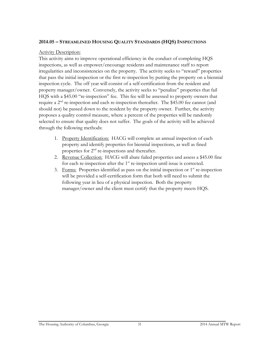#### **2014.05 – STREAMLINED HOUSING QUALITY STANDARDS (HQS)INSPECTIONS**

#### **Activity Description:**

This activity aims to improve operational efficiency in the conduct of completing HQS inspections, as well as empower/encourage residents and maintenance staff to report irregularities and inconsistencies on the property. The activity seeks to "reward" properties that pass the initial inspection or the first re-inspection by putting the property on a biennial inspection cycle. The off year will consist of a self-certification from the resident and property manager/owner. Conversely, the activity seeks to "penalize" properties that fail HQS with a \$45.00 "re-inspection" fee. This fee will be assessed to property owners that require a  $2<sup>nd</sup>$  re-inspection and each re-inspection thereafter. The \$45.00 fee cannot (and should not) be passed down to the resident by the property owner. Further, the activity proposes a quality control measure, where a percent of the properties will be randomly selected to ensure that quality does not suffer. The goals of the activity will be achieved through the following methods:

- 1. Property Identification: HACG will complete an annual inspection of each property and identify properties for biennial inspections, as well as fined properties for  $2<sup>nd</sup>$  re-inspections and thereafter.
- 2. Revenue Collection: HACG will abate failed properties and assess a \$45.00 fine for each re-inspection after the 1<sup>st</sup> re-inspection until issue is corrected.
- 3. Forms: Properties identified as pass on the initial inspection or 1<sup>st</sup> re-inspection will be provided a self-certification form that both will need to submit the following year in lieu of a physical inspection. Both the property manager/owner and the client must certify that the property meets HQS.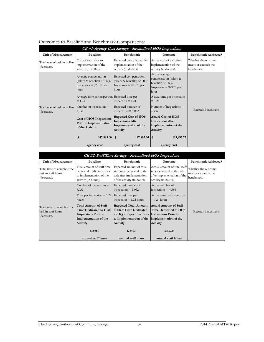| CE #1: Agency Cost Savings - Streamlined HQS Inspections |                                                                                                                                           |                                                                                              |                                                                                                                                 |                                                           |
|----------------------------------------------------------|-------------------------------------------------------------------------------------------------------------------------------------------|----------------------------------------------------------------------------------------------|---------------------------------------------------------------------------------------------------------------------------------|-----------------------------------------------------------|
| Unit of Measurement                                      | <b>Baseline</b>                                                                                                                           | <b>Benchmark</b>                                                                             | Outcome                                                                                                                         | <b>Benchmark Achieved?</b>                                |
| Total cost of task in dollars<br>(decrease).             | Cost of task prior to<br>implementation of the<br>activity (in dollars).                                                                  | Expected cost of task after<br>implementation of the<br>activity (in dollars).               | Actual cost of task after<br>implementation of the<br>activity (in dollars).                                                    | Whether the outcome<br>meets or exceeds the<br>benchmark. |
|                                                          | Average compensation<br>(salary & benefits) of HQS<br>Inspectors $=$ \$23.70 per<br>hour<br>Average time per inspection Expected time per | Expected compensation<br>(salary & benefits) of HQS<br>Inspectors $= $23.70$ per<br>hour     | Actual average<br>compensation (salary &<br>benefits) of HQS<br>Inspectors = $$23.70$ per<br>hour<br>Actual time per inspection |                                                           |
| Total cost of task in dollars<br>(decrease).             | $= 1.24$<br>Number of inspections $=$<br>5,032                                                                                            | inspection $= 1.24$<br>Expected number of<br>inspections $= 5,032$                           | $= 1.24$<br>Number of inspections $=$<br>4,386                                                                                  | Exceeds Benchmark                                         |
|                                                          | Cost of HQS Inspections<br>Prior to Implementation<br>of the Activity                                                                     | <b>Expected Cost of HQS</b><br><b>Inspections After</b><br>Implementation of the<br>Activity | <b>Actual Cost of HQS</b><br><b>Inspections After</b><br>Implementation of the<br>Activity                                      |                                                           |
|                                                          | 147,885.00<br>\$<br>agency cost                                                                                                           | 147,885.00<br>$\mathbf{s}$<br>agency cost                                                    | 128,895.77<br>\$<br>agency cost                                                                                                 |                                                           |

#### Outcomes to Baseline and Benchmark Comparisons:

| CE #2: Staff Time Savings - Streamlined HQS Inspections          |                                                                                                                           |                                                                                                                                                                        |                                                                                                                   |                                                           |
|------------------------------------------------------------------|---------------------------------------------------------------------------------------------------------------------------|------------------------------------------------------------------------------------------------------------------------------------------------------------------------|-------------------------------------------------------------------------------------------------------------------|-----------------------------------------------------------|
| Unit of Measurement                                              | <b>Baseline</b>                                                                                                           | <b>Benchmark</b>                                                                                                                                                       | <b>Outcome</b>                                                                                                    | <b>Benchmark Achieved?</b>                                |
| Total time to complete the<br>task in staff hours<br>(decrease). | Total amount of staff time<br>dedicated to the task prior<br>to implementation of the<br>activity (in hours).             | Expected amount of total<br>staff time dedicated to the<br>task after implementation<br>of the activity (in hours).                                                    | Actual amount of total staff<br>time dedicated to the task<br>after implementation of the<br>activity (in hours). | Whether the outcome<br>meets or exceeds the<br>benchmark. |
|                                                                  | Number of inspections $=$<br>5,032<br>Time per inspection $= 1.24$<br>hours                                               | Expected number of<br>inspections $= 5,032$<br>Expected time per<br>inspection $= 1.24$ hours                                                                          | Actual number of<br>inspections $= 4,386$<br>Actual time per inspection<br>$= 1.24$ hours                         |                                                           |
| Total time to complete the<br>task in staff hours<br>(decrease). | <b>Total Amount of Staff</b><br>Time Dedicated to HQS<br><b>Inspections Prior to</b><br>Implementation of the<br>Activity | <b>Expected Total Amount</b><br>of Staff Time Dedicated<br>to HQS Inspections Prior Inspections Prior to<br>to Implementation of the Implementation of the<br>Activity | Actual Amount of Staff<br>Time Dedicated to HOS<br>Activity                                                       | Exceeds Benchmark                                         |
|                                                                  | 6,240.0<br>annual staff hours                                                                                             | 6,240.0<br>annual staff hours                                                                                                                                          | 5,439.0<br>annual staff hours                                                                                     |                                                           |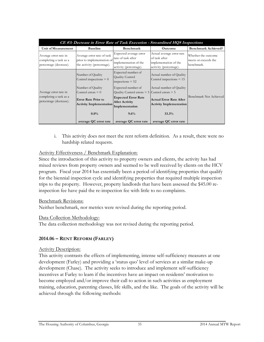|                                                                           |                                                                                        |                                                                                                 | CE #3: Decrease in Error Rate of Task Execution - Streamlined HQS Inspections                 |                                                           |
|---------------------------------------------------------------------------|----------------------------------------------------------------------------------------|-------------------------------------------------------------------------------------------------|-----------------------------------------------------------------------------------------------|-----------------------------------------------------------|
| Unit of Measurement                                                       | <b>Baseline</b>                                                                        | Benchmark                                                                                       | <b>Outcome</b>                                                                                | <b>Benchmark Achieved?</b>                                |
| Average error rate in<br>completing a task as a<br>percentage (decrease). | Average error rate of task<br>prior to implementation of<br>the activity (percentage). | Expected average error<br>rate of task after<br>implementation of the<br>activity (percentage). | Actual average error rate<br>of task after<br>implementation of the<br>activity (percentage). | Whether the outcome<br>meets or exceeds the<br>benchmark. |
|                                                                           | Number of Quality<br>Control inspections $= 0$                                         | Expected number of<br>Quality Control<br>inspections $= 52$                                     | Actual number of Quality<br>Control inspections $= 15$                                        |                                                           |
| Average error rate in                                                     | Number of Quality<br>Control errors $= 0$                                              | Expected number of<br>Quality Control errors = $5$ Control errors = $5$                         | Actual number of Quality                                                                      |                                                           |
| completing a task as a<br>percentage (decrease).                          | <b>Error Rate Prior to</b><br><b>Activity Implementation</b>                           | <b>Expected Error Rate</b><br><b>After Activity</b><br>Implementation                           | Actual Error Rate After<br><b>Activity Implementation</b>                                     | Benchmark Not Achieved                                    |
|                                                                           | $0.0\%$<br>average QC error rate                                                       | 9.6%<br>average QC error rate                                                                   | 33.3%<br>average QC error rate                                                                |                                                           |

i. This activity does not meet the rent reform definition. As a result, there were no hardship related requests.

#### Activity Effectiveness / Benchmark Explanation:

Since the introduction of this activity to property owners and clients, the activity has had mixed reviews from property owners and seemed to be well received by clients on the HCV program. Fiscal year 2014 has essentially been a period of identifying properties that qualify for the biennial inspection cycle and identifying properties that required multiple inspection trips to the property. However, property landlords that have been assessed the \$45.00 reinspection fee have paid the re-inspection fee with little to no complaints.

#### Benchmark Revisions:

Neither benchmark, nor metrics were revised during the reporting period.

#### Data Collection Methodology:

The data collection methodology was not revised during the reporting period.

#### **2014.06 – RENT REFORM (FARLEY)**

#### Activity Description:

This activity contrasts the effects of implementing, intense self-sufficiency measures at one development (Farley) and providing a 'status quo' level of services at a similar make-up development (Chase). The activity seeks to introduce and implement self-sufficiency incentives at Farley to learn if the incentives have an impact on residents' motivation to become employed and/or improve their call to action in such activities as employment training, education, parenting classes, life skills, and the like. The goals of the activity will be achieved through the following methods: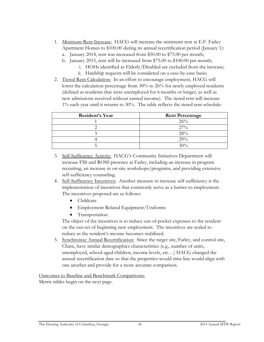- 1. Minimum Rent Increase: HACG will increase the minimum rent at E.F. Farley Apartment Homes to \$100.00 during its annual recertification period (January 1): a. January 2014, rent was increased from \$50.00 to \$75.00 per month;
	- b. January 2015, rent will be increased from \$75.00 to \$100.00 per month;
		- i. HOHs identified as Elderly/Disabled are excluded from the increase;
		- ii. Hardship requests will be considered on a case-by-case basis;
- 2. Tiered Rent Calculation: In an effort to encourage employment, HACG will lower the calculation percentage from 30% to 26% for newly employed residents (defined as residents that were unemployed for 6 months or longer, as well as new admissions received without earned income). The tiered rent will increase 1% each year until it returns to 30%. The table reflects the tiered rent schedule:

| Resident's Year | <b>Rent Percentage</b> |
|-----------------|------------------------|
|                 | 26%                    |
|                 | $27\%$                 |
|                 | $28\%$                 |
|                 | 29%                    |
|                 | 30%                    |

- 3. Self-Sufficiency Activity: HACG's Community Initiatives Department will increase FSS and ROSS presence at Farley, including an increase in program recruiting, an increase in on-site workshops/programs, and providing extensive self-sufficiency counseling.
- 4. Self-Sufficiency Incentives: Another measure to increase self-sufficiency is the implementation of incentives that commonly serve as a barrier to employment. The incentives proposed are as follows:
	- Childcare
	- Employment Related Equipment/Uniforms
	- Transportation

The object of the incentives is to reduce out-of-pocket expenses to the resident on the out-set of beginning new employment. The incentives are scaled to reduce as the resident's income becomes stabilized.

5. Synchronize Annual Recertification: Since the target site, Farley, and control site, Chase, have similar demographics characteristics (e.g., number of units, unemployed, school-aged children, income levels, etc…) HACG changed the annual recertification date so that the properties would time line would align with one another and provide for a more accurate comparison.

Outcomes to Baseline and Benchmark Comparisons:

Metric tables begin on the next page.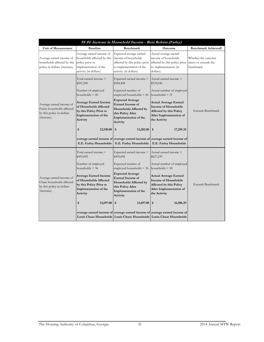| SS #1: Increase in Household Income - Rent Reform (Farley)                                         |                                                                                                                                             |                                                                                                                                                                             |                                                                                                                                                        |                                                           |
|----------------------------------------------------------------------------------------------------|---------------------------------------------------------------------------------------------------------------------------------------------|-----------------------------------------------------------------------------------------------------------------------------------------------------------------------------|--------------------------------------------------------------------------------------------------------------------------------------------------------|-----------------------------------------------------------|
| <b>Unit of Measurement</b>                                                                         | <b>Baseline</b>                                                                                                                             | <b>Benchmark</b>                                                                                                                                                            | Outcome                                                                                                                                                | <b>Benchmark Achieved?</b>                                |
| Average earned income of<br>households affected by this<br>policy in dollars (increase).           | Average earned income of<br>households affected by this<br>policy prior to<br>implementation of the<br>activity (in dollars).               | Expected average earned<br>income of households<br>affected by this policy prior<br>to implementation of the<br>activity (in dollars).                                      | Actual average earned<br>income of households<br>affected by this policy prior<br>to implementation (in<br>dollars).                                   | Whether the outcome<br>meets or exceeds the<br>benchmark. |
|                                                                                                    | Total earned income $=$<br>\$501,200<br>Number of employed                                                                                  | Expected earned income =<br>\$584,408<br>Expected number of                                                                                                                 | Actual earned income $=$<br>\$535,040<br>Actual number of employed                                                                                     |                                                           |
| Average earned income of<br>Farley households affected<br>by this policy in dollars<br>(increase). | households $=$ 40<br><b>Average Earned Income</b><br>of Households Affected<br>by this Policy Prior to<br>Implementation of the<br>Activity | employed households $= 44$<br><b>Expected Average</b><br><b>Earned Income of</b><br><b>Households Affected by</b><br>this Policy After<br>Implementation of the<br>Activity | households $=$ 31<br><b>Actual Average Earned</b><br><b>Income of Households</b><br>Affected by this Policy<br>After Implementation of<br>the Activity | <b>Exceeds Benchmark</b>                                  |
|                                                                                                    | 12,530.00<br>\$<br>E.E. Farley Households                                                                                                   | 13,282.00<br>\$<br>E.E. Farley Households                                                                                                                                   | \$<br>17,259.35<br>average earned income of average earned income of average earned income of<br>E.E. Farley Households                                |                                                           |
|                                                                                                    | Total earned income =<br>\$493,092                                                                                                          | Expected earned income =<br>\$493,092                                                                                                                                       | Actual earned income $=$<br>\$627,239                                                                                                                  |                                                           |
|                                                                                                    | Number of employed<br>households $=$ 36                                                                                                     | Expected number of<br>employed households $=$ 36                                                                                                                            | Actual number of employed<br>households $=$ 38                                                                                                         |                                                           |
| Average earned income of<br>Chase households affected<br>by this policy in dollars<br>(increase).  | <b>Average Earned Income</b><br>of Households Affected<br>by this Policy Prior to<br>Implementation of the<br>Activity                      | <b>Expected Average</b><br><b>Earned Income of</b><br>Households Affected by<br>this Policy After<br>Implementation of the<br>Activity                                      | <b>Actual Average Earned</b><br><b>Income of Households</b><br>Affected by this Policy<br>After Implementation of<br>the Activity                      | <b>Exceeds Benchmark</b>                                  |
|                                                                                                    | 13,697.00<br>\$                                                                                                                             | 13,697.00<br>\$                                                                                                                                                             | 16,506.29<br>\$                                                                                                                                        |                                                           |
|                                                                                                    |                                                                                                                                             |                                                                                                                                                                             | average earned income of average earned income of average earned income of<br>Louis Chase Households Louis Chase Households Louis Chase Households     |                                                           |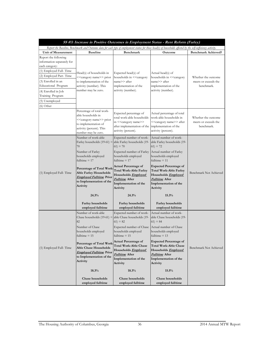| SS #3: Increase in Positive Outcomes in Employment Status - Rent Reform (Farley)                                                                                                                                                                  |                                                                                                                                                                                                                                                                                                                     |                                                                                                                                                                                                                                                                                                                                                              |                                                                                                                                                                                                                                                                                                                                                            |                                                           |
|---------------------------------------------------------------------------------------------------------------------------------------------------------------------------------------------------------------------------------------------------|---------------------------------------------------------------------------------------------------------------------------------------------------------------------------------------------------------------------------------------------------------------------------------------------------------------------|--------------------------------------------------------------------------------------------------------------------------------------------------------------------------------------------------------------------------------------------------------------------------------------------------------------------------------------------------------------|------------------------------------------------------------------------------------------------------------------------------------------------------------------------------------------------------------------------------------------------------------------------------------------------------------------------------------------------------------|-----------------------------------------------------------|
|                                                                                                                                                                                                                                                   | Report the Baseline, Benchmark and Outcome data for each type of employment status for those head(s) of households affected by the self-sufficiency activity.                                                                                                                                                       |                                                                                                                                                                                                                                                                                                                                                              |                                                                                                                                                                                                                                                                                                                                                            |                                                           |
| <b>Unit of Measurement</b>                                                                                                                                                                                                                        | <b>Baseline</b>                                                                                                                                                                                                                                                                                                     | Benchmark                                                                                                                                                                                                                                                                                                                                                    | Outcome                                                                                                                                                                                                                                                                                                                                                    | <b>Benchmark Achieved?</b>                                |
| Report the following<br>information separately for<br>each category:<br>(1) Employed Full-Time<br>(2) Employed Part-Time<br>(3) Enrolled in an<br>Educational Program<br>(4) Enrolled in Job<br>Training Program<br>(5) Unemployed<br>$(6)$ Other | Head(s) of households in<br>< <category name="">&gt; prior<br/>to implementation of the<br/>activity (number). This<br/>number may be zero.</category>                                                                                                                                                              | Expected head(s) of<br>households in < <category<br>name&gt;&gt; after<br/>implementation of the<br/>activity (number).</category<br>                                                                                                                                                                                                                        | Actual head(s) of<br>households in < <category<br>name&gt;&gt; after<br/>implementation of the<br/>activity (number).</category<br>                                                                                                                                                                                                                        | Whether the outcome<br>meets or exceeds the<br>benchmark. |
|                                                                                                                                                                                                                                                   | Percentage of total work-<br>able households in<br>< <category name="">&gt; prior<br/>to implementation of<br/>activity (percent). This<br/>number may be zero.</category>                                                                                                                                          | Expected percentage of<br>total work-able households<br>in << category name>><br>after implementation of the<br>activity (percent).                                                                                                                                                                                                                          | Actual percentage of total<br>work-able households in<br>< <category name="">&gt; after<br/>implementation of the<br/>activity (percent).</category>                                                                                                                                                                                                       | Whether the outcome<br>meets or exceeds the<br>benchmark. |
| (1) Employed Full-Time                                                                                                                                                                                                                            | Number of work-able<br>Farley households $(19-61)$ =<br>70<br>Number of Farley<br>households employed<br>fulltime $= 17$<br>Percentage of Total Work-<br><b>Able Farley Households</b><br><b>Employed Fulltime Prior</b><br>to Implementation of the<br>Activity<br>24.3%<br>Farley households<br>employed fulltime | Expected number of work-<br>able Farley households (19-<br>$(61) = 70$<br>Expected number of Farley<br>households employed<br>fulltime $= 17$<br><b>Actual Percentage of</b><br><b>Total Work-Able Farley</b><br>Households <i>Employed</i><br><i>Fulltime</i> After<br>Implementation of the<br>Activity<br>24.3%<br>Farley households<br>employed fulltime | Actual number of work-<br>able Farley households (19-<br>$(61) = 72$<br>Actual number of Farley<br>households employed<br>fulltime $= 11$<br><b>Expected Percentage of</b><br><b>Total Work-Able Farley</b><br>Households <b>Employed</b><br><b>Fulltime</b> After<br>Implementation of the<br>Activity<br>15.3%<br>Farley households<br>employed fulltime | Benchmark Not Achieved                                    |
| (1) Employed Full-Time                                                                                                                                                                                                                            | Number of work-able<br>Chase households $(19-61)$ =<br>82<br>Number of Chase<br>households employed<br>fulltime $= 15$<br>Percentage of Total Work-<br><b>Able Chase Households</b><br><b>Employed Fulltime Prior</b><br>to Implementation of the<br>Activity<br>18.3%<br>Chase households<br>employed fulltime     | Expected number of work-<br>able Chase households (19-<br>$61 = 82$<br>Expected number of Chase<br>households employed<br>fulltime $= 15$<br>Actual Percentage of<br><b>Total Work-Able Chase</b><br>Households <i>Employed</i><br>Fulltime After<br>Implementation of the<br>Activity<br>18.3%<br>Chase households<br>employed fulltime                     | Actual number of work-<br>able Chase households (19-<br>$61 = 84$<br>Actual number of Chase<br>households employed<br>fulltime $= 13$<br><b>Expected Percentage of</b><br>Total Work-Able Chase<br>Households <i>Employed</i><br><b>Fulltime</b> After<br>Implementation of the<br>Activity<br>15.5%<br>Chase households<br>employed fulltime              | Benchmark Not Achieved                                    |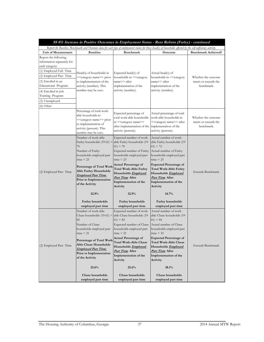| SS #3: Increase in Positive Outcomes in Employment Status - Rent Reform (Farley) - continued                                                                                                                                                      |                                                                                                                                                                                                                                                                                                                      |                                                                                                                                                                                                                                                                                                                                                        |                                                                                                                                                                                                                                                                                                                                                            |                                                           |
|---------------------------------------------------------------------------------------------------------------------------------------------------------------------------------------------------------------------------------------------------|----------------------------------------------------------------------------------------------------------------------------------------------------------------------------------------------------------------------------------------------------------------------------------------------------------------------|--------------------------------------------------------------------------------------------------------------------------------------------------------------------------------------------------------------------------------------------------------------------------------------------------------------------------------------------------------|------------------------------------------------------------------------------------------------------------------------------------------------------------------------------------------------------------------------------------------------------------------------------------------------------------------------------------------------------------|-----------------------------------------------------------|
|                                                                                                                                                                                                                                                   |                                                                                                                                                                                                                                                                                                                      |                                                                                                                                                                                                                                                                                                                                                        | Report the Baseline, Benchmark and Outcome data for each type of employment status for those head(s) of households affected by the self-sufficiency activity.                                                                                                                                                                                              |                                                           |
| <b>Unit of Measurement</b>                                                                                                                                                                                                                        | <b>Baseline</b>                                                                                                                                                                                                                                                                                                      | <b>Benchmark</b>                                                                                                                                                                                                                                                                                                                                       | Outcome                                                                                                                                                                                                                                                                                                                                                    | <b>Benchmark Achieved?</b>                                |
| Report the following<br>information separately for<br>each category:<br>(1) Employed Full-Time<br>(2) Employed Part-Time<br>(3) Enrolled in an<br>Educational Program<br>(4) Enrolled in Job<br>Training Program<br>(5) Unemployed<br>$(6)$ Other | Head(s) of households in<br>< <category name="">&gt; prior<br/>to implementation of the<br/>activity (number). This<br/>number may be zero.</category>                                                                                                                                                               | Expected head(s) of<br>households in < <category<br>name&gt;&gt; after<br/>implementation of the<br/>activity (number).</category<br>                                                                                                                                                                                                                  | Actual head(s) of<br>households in < <category<br>name&gt;&gt; after<br/>implementation of the<br/>activity (number).</category<br>                                                                                                                                                                                                                        | Whether the outcome<br>meets or exceeds the<br>benchmark. |
|                                                                                                                                                                                                                                                   | Percentage of total work-<br>able households in<br>< <category name="">&gt; prior<br/>to implementation of<br/>activity (percent). This<br/>number may be zero.</category>                                                                                                                                           | Expected percentage of<br>total work-able households<br>in << category name>><br>after implementation of the implementation of the<br>activity (percent).                                                                                                                                                                                              | Actual percentage of total<br>work-able households in<br>< <category name="">&gt; after<br/>activity (percent).</category>                                                                                                                                                                                                                                 | Whether the outcome<br>meets or exceeds the<br>benchmark. |
| (2) Employed Part-Time                                                                                                                                                                                                                            | Number of work-able<br>Farley households $(19-61)$ =<br>70<br>Number of Farley<br>households employed part<br>$time = 23$<br>Percentage of Total Work<br>Able Farley Households<br><b>Employed Part Time</b><br>Prior to Implementation<br>of the Activity<br>32.9%<br>Farley households<br>employed part time       | Expected number of work-<br>able Farley households (19-<br>$61 = 70$<br>Expected number of Farley<br>households employed part<br>$time = 23$<br><b>Actual Percentage of</b><br><b>Total Work-Able Farley</b><br>Households <i>Employed</i><br>Part Time After<br>Implementation of the<br>Activity<br>32.9%<br>Farley households<br>employed part time | Actual number of work-<br>able Farley households (19-<br>$(61) = 72$<br>Actual number of Farley<br>households employed part<br>$time = 25$<br><b>Expected Percentage of</b><br>Total Work-Able Farley<br>Households <b>Employed</b><br>Part Time After<br>Implementation of the<br>Activity<br>34.7%<br>Farley households<br>employed part time            | <b>Exceeds Benchmark</b>                                  |
| (2) Employed Part-Time                                                                                                                                                                                                                            | Number of work-able<br>Chase households $(19-61)$ =<br>82<br>Number of Chase<br>households employed part<br>$\tan e = 21$<br>Percentage of Total Work-<br><b>Able Chase Households</b><br><u>Employed Part Time</u><br>Prior to Implementation<br>of the Activity<br>25.6%<br>Chase households<br>employed part time | Expected number of work-<br>able Chase households (19-<br>$(61) = 82$<br>Expected number of Chase<br>households employed part<br>$\tan e = 21$<br><b>Actual Percentage of</b><br><b>Total Work-Able Chase</b><br>Households <i>Employed</i><br>Part Time After<br>Implementation of the<br>Activity<br>25.6%<br>Chase households<br>employed part time | Actual number of work-<br>able Chase households (19-<br>$61) = 84$<br>Actual number of Chase<br>households employed part<br>$\tan e = 32$<br><b>Expected Percentage of</b><br><b>Total Work-Able Chase</b><br>Households <i>Employed</i><br><i>Part Time</i> After<br>Implementation of the<br>Activity<br>38.1%<br>Chase households<br>employed part time | <b>Exceeds Benchmark</b>                                  |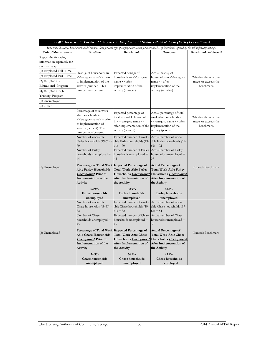| SS #3: Increase in Positive Outcomes in Employment Status - Rent Reform (Farley) - continued                                             |                                                                                                                                                                            |                                                                                                                                        |                                                                                                                                                                 |                                                           |
|------------------------------------------------------------------------------------------------------------------------------------------|----------------------------------------------------------------------------------------------------------------------------------------------------------------------------|----------------------------------------------------------------------------------------------------------------------------------------|-----------------------------------------------------------------------------------------------------------------------------------------------------------------|-----------------------------------------------------------|
|                                                                                                                                          | Report the Baseline, Benchmark and Outcome data for each type of employment status for those head(s) of households affected by the self-sufficiency activity.              |                                                                                                                                        |                                                                                                                                                                 |                                                           |
| <b>Unit of Measurement</b>                                                                                                               | <b>Baseline</b>                                                                                                                                                            | Benchmark                                                                                                                              | Outcome                                                                                                                                                         | <b>Benchmark Achieved?</b>                                |
| Report the following<br>information separately for<br>each category:                                                                     |                                                                                                                                                                            |                                                                                                                                        |                                                                                                                                                                 |                                                           |
| (1) Employed Full-Time<br>(2) Employed Part-Time<br>(3) Enrolled in an<br>Educational Program<br>(4) Enrolled in Job<br>Training Program | Head(s) of households in<br>< <category name="">&gt; prior<br/>to implementation of the<br/>activity (number). This<br/>number may be zero.</category>                     | Expected head(s) of<br>households in << <rategory<br>name&gt;&gt; after<br/>implementation of the<br/>activity (number).</rategory<br> | Actual head(s) of<br>households in < <category<br>name&gt;&gt; after<br/>implementation of the<br/>activity (number).</category<br>                             | Whether the outcome<br>meets or exceeds the<br>benchmark. |
| (5) Unemployed<br>(6) Other                                                                                                              |                                                                                                                                                                            |                                                                                                                                        |                                                                                                                                                                 |                                                           |
|                                                                                                                                          | Percentage of total work-<br>able households in<br>< <category name="">&gt; prior<br/>to implementation of<br/>activity (percent). This<br/>number may be zero.</category> | Expected percentage of<br>total work-able households<br>in << category name>><br>after implementation of the<br>activity (percent).    | Actual percentage of total<br>work-able households in<br>< <category name="">&gt; after<br/>implementation of the<br/>activity (percent).</category>            | Whether the outcome<br>meets or exceeds the<br>benchmark. |
|                                                                                                                                          | Number of work-able<br>Farley households $(19-61)$ =<br>70<br>Number of Farley<br>households unemployed =<br>44<br>Percentage of Total Work-Expected Percentage of         | Expected number of work-<br>able Farley households (19-<br>$61 = 70$<br>Expected number of Farley<br>households unemployed =<br>44     | Actual number of work-<br>able Farley households (19-<br>$(61) = 72$<br>Actual number of Farley<br>households unemployed =<br>37<br><b>Actual Percentage of</b> |                                                           |
| (5) Unemployed                                                                                                                           | Able Farley Households<br><b>Unemployed</b> Prior to<br>Implementation of the<br>Activity                                                                                  | <b>Total Work-Able Farley</b><br>After Implementation of<br>the Activity                                                               | Total Work-Able Farley<br>Households <b>Unemployed</b> Households <b>Unemployed</b><br>After Implementation of<br>the Activity                                  | Exceeds Benchmark                                         |
|                                                                                                                                          | 62.9%<br>Farley households<br>unemployed                                                                                                                                   | 62.9%<br>Farley households<br>unemployed                                                                                               | 51.4%<br>Farley households<br>unemployed                                                                                                                        |                                                           |
|                                                                                                                                          | Number of work-able<br>Chase households $(19-61)$ =<br>82<br>Number of Chase<br>households unemployed =<br>45                                                              | Expected number of work-<br>able Chase households (19-<br>$61) = 82$<br>Expected number of Chase<br>households unemployed =<br>45      | Actual number of work-<br>able Chase households (19-<br>$61 = 84$<br>Actual number of Chase<br>households unemployed =<br>38                                    |                                                           |
| (5) Unemployed                                                                                                                           | Percentage of Total Work-Expected Percentage of<br>Able Chase Households<br><b>Unemployed</b> Prior to<br>Implementation of the<br>Activity<br>54.9%                       | <b>Total Work-Able Chase</b><br>Households <b>Unemployed</b><br>After Implementation of<br>the Activity<br>54.9%                       | <b>Actual Percentage of</b><br><b>Total Work-Able Chase</b><br>Households <i>Unemployed</i><br>After Implementation of<br>the Activity<br>45.2%                 | Exceeds Benchmark                                         |
|                                                                                                                                          | Chase households<br>unemployed                                                                                                                                             | Chase households<br>unemployed                                                                                                         | Chase households<br>unemployed                                                                                                                                  |                                                           |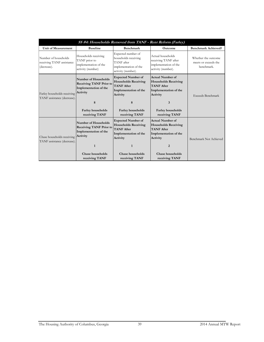|                                                                  |                                                                                                  | SS #4: Households Removed from TANF - Rent Reform (Farley)                                                              |                                                                                                                       |                                                           |
|------------------------------------------------------------------|--------------------------------------------------------------------------------------------------|-------------------------------------------------------------------------------------------------------------------------|-----------------------------------------------------------------------------------------------------------------------|-----------------------------------------------------------|
| <b>Unit of Measurement</b>                                       | <b>Baseline</b>                                                                                  | <b>Benchmark</b>                                                                                                        | <b>Outcome</b>                                                                                                        | <b>Benchmark Achieved?</b>                                |
| Number of households<br>receiving TANF assistance<br>(decrease). | Households receiving<br>TANF prior to<br>implementation of the<br>activity (number)              | Expected number of<br>households receiving<br>TANF after<br>implementation of the<br>activity (number).                 | Actual households<br>receiving TANF after<br>implementation of the<br>activity (number).                              | Whether the outcome<br>meets or exceeds the<br>benchmark. |
| Farley households receiving<br>TANF assistance (decrease).       | Number of Households<br><b>Receiving TANF Prior to</b><br>Implementation of the<br>Activity<br>8 | <b>Expected Number of</b><br><b>Households Receiving</b><br><b>TANF After</b><br>Implementation of the<br>Activity<br>8 | <b>Actual Number of</b><br><b>Households Receiving</b><br><b>TANF After</b><br>Implementation of the<br>Activity<br>3 | Exceeds Benchmark                                         |
|                                                                  | Farley households<br>receiving TANF                                                              | <b>Farley households</b><br>receiving TANF                                                                              | Farley households<br>receiving TANF                                                                                   |                                                           |
| Chase households receiving<br>TANF assistance (decrease).        | Number of Households<br><b>Receiving TANF Prior to</b><br>Implementation of the<br>Activity      | <b>Expected Number of</b><br><b>Households Receiving</b><br><b>TANF After</b><br>Implementation of the<br>Activity      | <b>Actual Number of</b><br><b>Households Receiving</b><br><b>TANF After</b><br>Implementation of the<br>Activity      | Benchmark Not Achieved                                    |
|                                                                  | 1                                                                                                | 1                                                                                                                       | $\overline{2}$                                                                                                        |                                                           |
|                                                                  | Chase households<br>receiving TANF                                                               | Chase households<br>receiving TANF                                                                                      | Chase households<br>receiving TANF                                                                                    |                                                           |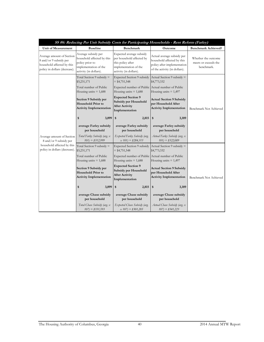| SS #6: Reducing Per Unit Subsidy Costs for Participating Households - Rent Reform (Farley)                         |                                                                                                                         |                                                                                                                               |                                                                                                                          |                                                           |
|--------------------------------------------------------------------------------------------------------------------|-------------------------------------------------------------------------------------------------------------------------|-------------------------------------------------------------------------------------------------------------------------------|--------------------------------------------------------------------------------------------------------------------------|-----------------------------------------------------------|
| Unit of Measurement                                                                                                | <b>Baseline</b>                                                                                                         | <b>Benchmark</b>                                                                                                              | Outcome                                                                                                                  | <b>Benchmark Achieved?</b>                                |
| Average amount of Section<br>8 and/or 9 subsidy per<br>household affected by this<br>policy in dollars (decrease). | Average subsidy per<br>household affected by this<br>policy prior to<br>implementation of the<br>activity (in dollars). | Expected average subsidy<br>per household affected by<br>this policy after<br>implementation of the<br>activity (in dollars). | Actual average subsidy per<br>household affected by this<br>policy after implementation<br>of the activity (in dollars). | Whether the outcome<br>meets or exceeds the<br>benchmark. |
|                                                                                                                    | Total Section 9 subsidy $=$<br>\$5,231,171                                                                              | Expected Section 9 subsidy<br>$=$ \$4,751,548                                                                                 | Actual Section 9 subsidy =<br>\$4,773,332                                                                                |                                                           |
|                                                                                                                    | Total number of Public<br>Housing units $= 1,688$                                                                       | Expected number of Public Actual number of Public<br>Housing units $= 1,688$                                                  | Housing units $= 1,497$                                                                                                  |                                                           |
|                                                                                                                    | Section 9 Subsidy per<br><b>Household Prior to</b><br><b>Activity Implementation</b>                                    | <b>Expected Section 9</b><br>Subsidy per Household<br><b>After Activity</b><br>Implementation                                 | <b>Actual Section 9 Subsidy</b><br>per Household After<br><b>Activity Implementation</b>                                 | Benchmark Not Achieved                                    |
|                                                                                                                    | \$<br>3,099                                                                                                             | 2,815<br>\$                                                                                                                   | \$<br>3,189                                                                                                              |                                                           |
|                                                                                                                    | average Farley subsidy<br>per household                                                                                 | average Farley subsidy<br>per household                                                                                       | average Farley subsidy<br>per household                                                                                  |                                                           |
| Average amount of Section<br>8 and/or 9 subsidy per                                                                | Total Farley Subsidy (avg. x<br>$101 = $312,999$                                                                        | Expected Farley Subsidy (avg.<br>$x 101$ = \$284,315                                                                          | Actual Farley Subsidy (avg. x<br>$101 = $322,089$                                                                        |                                                           |
| household affected by this<br>policy in dollars (decrease).                                                        | Total Section 9 subsidy $=$<br>\$5,231,171                                                                              | <b>Expected Section 9 subsidy</b><br>$=$ \$4,751,548                                                                          | Actual Section 9 subsidy =<br>\$4,773,332                                                                                |                                                           |
|                                                                                                                    | Total number of Public<br>Housing units $= 1,688$                                                                       | Expected number of Public Actual number of Public<br>Housing units $= 1,688$                                                  | Housing units $= 1,497$                                                                                                  |                                                           |
|                                                                                                                    | Section 9 Subsidy per<br><b>Household Prior to</b><br><b>Activity Implementation</b>                                    | <b>Expected Section 9</b><br>Subsidy per Household<br><b>After Activity</b><br>Implementation                                 | <b>Actual Section 9 Subsidy</b><br>per Household After<br><b>Activity Implementation</b>                                 | Benchmark Not Achieved                                    |
|                                                                                                                    | \$<br>3,099                                                                                                             | \$<br>2,815                                                                                                                   | \$<br>3,189                                                                                                              |                                                           |
|                                                                                                                    | average Chase subsidy<br>per household                                                                                  | average Chase subsidy<br>per household                                                                                        | average Chase subsidy<br>per household                                                                                   |                                                           |
|                                                                                                                    | Total Chase Subsidy (avg. $x$<br>$107 = $331,593$                                                                       | Expected Chase Subsidy (avg.<br>$x 107$ = \$301,205                                                                           | Actual Chase Subsidy (avg. x<br>$107 = $341,223$                                                                         |                                                           |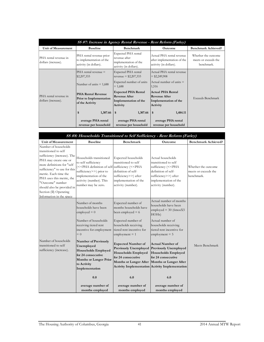| SS #7: Increase in Agency Rental Revenue - Rent Reform (Farley) |                                                                                |                                                                                         |                                                                                       |                                                           |
|-----------------------------------------------------------------|--------------------------------------------------------------------------------|-----------------------------------------------------------------------------------------|---------------------------------------------------------------------------------------|-----------------------------------------------------------|
| Unit of Measurement                                             | <b>Baseline</b>                                                                | <b>Benchmark</b>                                                                        | Outcome                                                                               | <b>Benchmark Achieved?</b>                                |
| PHA rental revenue in<br>dollars (increase).                    | PHA rental revenue prior<br>to implementation of the<br>activity (in dollars). | Expected PHA rental<br>revenue after<br>implementation of the<br>activity (in dollars). | Actual PHA rental revenue<br>after implementation of the<br>activity (in dollars).    | Whether the outcome<br>meets or exceeds the<br>benchmark. |
|                                                                 | $PHA$ rental revenue $=$<br>\$2,207,333                                        | Expected PHA rental<br>revenue = $$2,207,333$                                           | Actual PHA rental revenue<br>$=$ \$2,249,908                                          |                                                           |
|                                                                 | Number of units $= 1,688$                                                      | Expected number of units<br>$= 1,688$                                                   | Actual number of units $=$<br>1,516                                                   |                                                           |
| PHA rental revenue in<br>dollars (increase).                    | <b>PHA Rental Revenue</b><br><b>Prior</b> to Implementation<br>of the Activity | <b>Expected PHA Rental</b><br><b>Revenue After</b><br>Implementation of the<br>Activity | <b>Actual PHA Rental</b><br><b>Revenue After</b><br>Implementation of the<br>Activity | Exceeds Benchmark                                         |
|                                                                 | \$<br>1,307.66                                                                 | 1,307.66<br>- \$                                                                        | 1,484.11<br>\$                                                                        |                                                           |
|                                                                 | average PHA rental                                                             | average PHA rental                                                                      | average PHA rental                                                                    |                                                           |
|                                                                 | revenue per household                                                          | revenue per household                                                                   | revenue per household                                                                 |                                                           |

| SS #8: Households Transitioned to Self Sufficiency - Rent Reform (Farley)                                                                                                                                                                                                                                                        |                                                                                                                                                                                                                                  |                                                                                                                                                                                                                            |                                                                                                                                                                                         |                                                           |
|----------------------------------------------------------------------------------------------------------------------------------------------------------------------------------------------------------------------------------------------------------------------------------------------------------------------------------|----------------------------------------------------------------------------------------------------------------------------------------------------------------------------------------------------------------------------------|----------------------------------------------------------------------------------------------------------------------------------------------------------------------------------------------------------------------------|-----------------------------------------------------------------------------------------------------------------------------------------------------------------------------------------|-----------------------------------------------------------|
| Unit of Measurement                                                                                                                                                                                                                                                                                                              | <b>Baseline</b>                                                                                                                                                                                                                  | <b>Benchmark</b>                                                                                                                                                                                                           | <b>Outcome</b>                                                                                                                                                                          | <b>Benchmark Achieved?</b>                                |
| Number of households<br>transitioned to self<br>sufficiency (increase). The<br>PHA may create one or<br>more definitions for "self<br>sufficiency" to use for this<br>metric. Each time the<br>PHA uses this metric, the<br>"Outcome" number<br>should also be provided in<br>Section (II) Operating<br>Information in the space | Households transitioned<br>to self sufficiency<br>(< <pha (<<pha<br="" definition="" of="" self-sufficiency="">sufficiency&gt;&gt;) prior to<br/>implementation of the<br/>activity (number). This<br/>number may be zero.</pha> | Expected households<br>transitioned to self<br>definition of self-<br>sufficiency>>) after<br>implementation of the<br>activity (number).                                                                                  | Actual households<br>transitioned to self<br>sufficiency (< <pha<br>definition of self-<br/>sufficiency&gt;&gt;) after<br/>implementation of the<br/>activity (number).</pha<br>        | Whether the outcome<br>meets or exceeds the<br>benchmark. |
|                                                                                                                                                                                                                                                                                                                                  | Number of months<br>households have been<br>$employed = 0$<br>Number of households<br>receiving tiered rent<br>incentive for employment<br>$= 0$                                                                                 | Expected number of<br>months households have<br>been employed $= 6$<br>Expected number of<br>households receiving<br>tiered rent incentive for<br>$employment = 1$                                                         | Actual number of months<br>households have been<br>employed = $30(6 \text{mosX}5)$<br>HOHs)<br>Actual number of<br>households receiving<br>tiered rent incentive for<br>$embovment = 5$ |                                                           |
| Number of households<br>transitioned to self<br>sufficiency (increase).                                                                                                                                                                                                                                                          | Number of Previously<br>Unemployed<br><b>Households Employed</b><br>for 24 consecutive<br><b>Months or Longer Prior</b><br>to Activity<br>Implementation                                                                         | <b>Expected Number of</b><br><b>Previously Unemployed</b><br><b>Households Employed</b><br>for 24 consecutive<br>Months or Longer After   Months or Longer After<br><b>Activity Implementation Activity Implementation</b> | <b>Actual Number of</b><br><b>Previously Unemployed</b><br><b>Households Employed</b><br>for 24 consecutive                                                                             | Meets Benchmark                                           |
|                                                                                                                                                                                                                                                                                                                                  | 0.0<br>average number of<br>months employed                                                                                                                                                                                      | 6.0<br>average number of<br>months employed                                                                                                                                                                                | 6.0<br>average number of<br>months employed                                                                                                                                             |                                                           |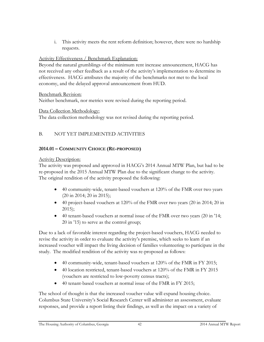i. This activity meets the rent reform definition; however, there were no hardship requests.

#### Activity Effectiveness / Benchmark Explanation:

Beyond the natural grumblings of the minimum rent increase announcement, HACG has not received any other feedback as a result of the activity's implementation to determine its effectiveness. HACG attributes the majority of the benchmarks not met to the local economy, and the delayed approval announcement from HUD.

#### Benchmark Revision:

Neither benchmark, nor metrics were revised during the reporting period.

#### Data Collection Methodology:

The data collection methodology was not revised during the reporting period.

### B. NOT YET IMPLEMENTED ACTIVITIES

#### **2014.01 – COMMUNITY CHOICE (RE-PROPOSED)**

#### Activity Description:

The activity was proposed and approved in HACG's 2014 Annual MTW Plan, but had to be re-proposed in the 2015 Annual MTW Plan due to the significant change to the activity. The original rendition of the activity proposed the following:

- 40 community-wide, tenant-based vouchers at 120% of the FMR over two years (20 in 2014; 20 in 2015);
- 40 project-based vouchers at 120% of the FMR over two years (20 in 2014; 20 in 2015);
- 40 tenant-based vouchers at normal issue of the FMR over two years (20 in '14; 20 in '15) to serve as the control group;

Due to a lack of favorable interest regarding the project-based vouchers, HACG needed to revise the activity in order to evaluate the activity's premise, which seeks to learn if an increased voucher will impact the living decision of families volunteering to participate in the study. The modified rendition of the activity was re-proposed as follows:

- 40 community-wide, tenant-based vouchers at 120% of the FMR in FY 2015;
- 40 location restricted, tenant-based vouchers at 120% of the FMR in FY 2015 (vouchers are restricted to low-poverty census tracts);
- 40 tenant-based vouchers at normal issue of the FMR in FY 2015;

The school of thought is that the increased voucher value will expand housing choice. Columbus State University's Social Research Center will administer an assessment, evaluate responses, and provide a report listing their findings, as well as the impact on a variety of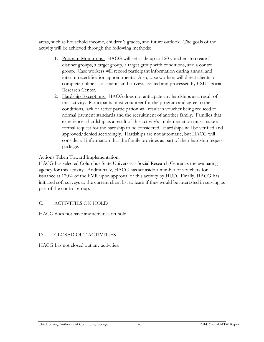areas, such as household income, children's grades, and future outlook. The goals of the activity will be achieved through the following methods:

- 1. Program Monitoring: HACG will set aside up to 120 vouchers to create 3 distinct groups, a target group, a target group with conditions, and a control group. Case workers will record participant information during annual and interim recertification appointments. Also, case workers will direct clients to complete online assessments and surveys created and processed by CSU's Social Research Center.
- 2. Hardship Exceptions: HACG does not anticipate any hardships as a result of this activity. Participants must volunteer for the program and agree to the conditions, lack of active participation will result in voucher being reduced to normal payment standards and the recruitment of another family. Families that experience a hardship as a result of this activity's implementation must make a formal request for the hardship to be considered. Hardships will be verified and approved/denied accordingly. Hardships are not automatic, but HACG will consider all information that the family provides as part of their hardship request package.

#### Actions Taken Toward Implementation:

HACG has selected Columbus State University's Social Research Center as the evaluating agency for this activity. Additionally, HACG has set aside a number of vouchers for issuance at 120% of the FMR upon approval of this activity by HUD. Finally, HACG has initiated soft surveys to the current client list to learn if they would be interested in serving as part of the control group.

#### C. ACTIVITIES ON HOLD

HACG does not have any activities on hold.

#### D. CLOSED OUT ACTIVITIES

HACG has not closed out any activities.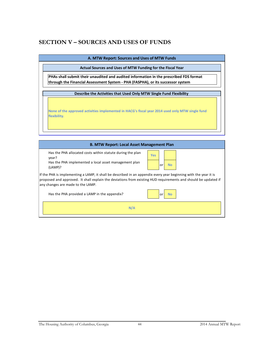## **SECTION V – SOURCES AND USES OF FUNDS**

**A. MTW Report: Sources and Uses of MTW Funds**

**Actual Sources and Uses of MTW Funding for the Fiscal Year**

**PHAs shall submit their unaudited and audited information in the prescribed FDS format through the Financial Assessment System - PHA (FASPHA), or its successor system**

**Describe the Activities that Used Only MTW Single Fund Flexibility** 

**None of the approved activities implemented in HACG's fiscal year 2014 used only MTW single fund flexibility.**

**B. MTW Report: Local Asset Management Plan**<br> **Example 20** a local asset management plan<br> **Example 20 a local asset management plan** Has the PHA allocated costs within statute during the plan year?

Has the PHA implemented a local asset management plan (LAMP)?

| <b>Yes</b> |    |    |
|------------|----|----|
|            | or | No |

ry year b<br>equirement<br>or **No** If the PHA is implementing a LAMP, it shall be described in an appendix every year beginning with the year it is proposed and approved. It shall explain the deviations from existing HUD requirements and should be updated if any changes are made to the LAMP.

Has the PHA provided a LAMP in the appendix?

**N/A**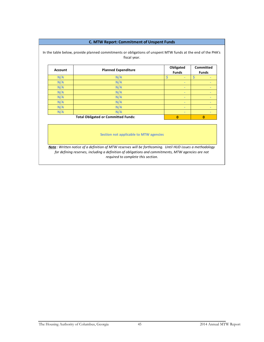#### **C. MTW Report: Commitment of Unspent Funds**

In the table below, provide planned commitments or obligations of unspent MTW funds at the end of the PHA's fiscal year.

| <b>Account</b>                             | <b>Planned Expenditure</b> |  | Obligated<br><b>Funds</b> |          | <b>Committed</b><br><b>Funds</b> |  |
|--------------------------------------------|----------------------------|--|---------------------------|----------|----------------------------------|--|
| N/A                                        | N/A                        |  | $\sim$                    |          | $\overline{\phantom{a}}$         |  |
| N/A                                        | N/A                        |  | $\blacksquare$            |          | ۰                                |  |
| N/A                                        | N/A                        |  | $\frac{1}{2}$             |          | $\overline{\phantom{a}}$         |  |
| N/A                                        | N/A                        |  | $\blacksquare$            |          | $\overline{\phantom{a}}$         |  |
| N/A                                        | N/A                        |  | $\blacksquare$            |          | $\blacksquare$                   |  |
| N/A                                        | N/A                        |  | $\overline{\phantom{a}}$  |          | $\overline{\phantom{a}}$         |  |
| N/A                                        | N/A                        |  | $\overline{\phantom{a}}$  |          | $\overline{\phantom{a}}$         |  |
| N/A                                        | N/A                        |  | $\sim$                    |          | $\overline{\phantom{a}}$         |  |
| <b>Total Obligated or Committed Funds:</b> |                            |  | 0                         | $\bf{0}$ |                                  |  |

**Section not applicable to MTW agencies**

*Note : Written notice of a definition of MTW reserves will be forthcoming. Until HUD issues a methodology for defining reserves, including a definition of obligations and commitments, MTW agencies are not required to complete this section.*